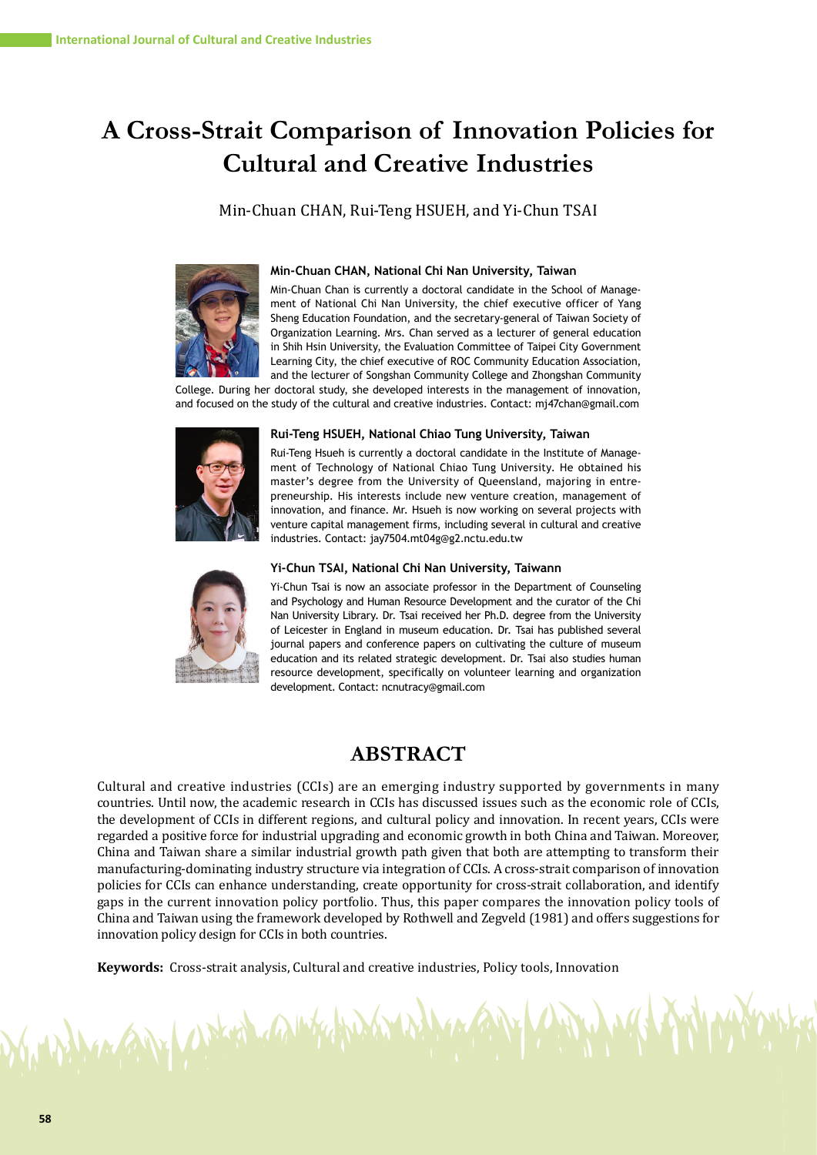# **A Cross-Strait Comparison of Innovation Policies for Cultural and Creative Industries**

Min-Chuan CHAN, Rui-Teng HSUEH, and Yi-Chun TSAI



#### **Min-Chuan CHAN, National Chi Nan University, Taiwan**

Min-Chuan Chan is currently a doctoral candidate in the School of Management of National Chi Nan University, the chief executive officer of Yang Sheng Education Foundation, and the secretary-general of Taiwan Society of Organization Learning. Mrs. Chan served as a lecturer of general education in Shih Hsin University, the Evaluation Committee of Taipei City Government Learning City, the chief executive of ROC Community Education Association, and the lecturer of Songshan Community College and Zhongshan Community

College. During her doctoral study, she developed interests in the management of innovation, and focused on the study of the cultural and creative industries. Contact: mj47chan@gmail.com



#### **Rui-Teng HSUEH, National Chiao Tung University, Taiwan**

Rui-Teng Hsueh is currently a doctoral candidate in the Institute of Management of Technology of National Chiao Tung University. He obtained his master's degree from the University of Queensland, majoring in entrepreneurship. His interests include new venture creation, management of innovation, and finance. Mr. Hsueh is now working on several projects with venture capital management firms, including several in cultural and creative industries. Contact: jay7504.mt04g@g2.nctu.edu.tw



MANY CARLO CALIFE

#### **Yi-Chun TSAI, National Chi Nan University, Taiwann**

Yi-Chun Tsai is now an associate professor in the Department of Counseling and Psychology and Human Resource Development and the curator of the Chi Nan University Library. Dr. Tsai received her Ph.D. degree from the University of Leicester in England in museum education. Dr. Tsai has published several journal papers and conference papers on cultivating the culture of museum education and its related strategic development. Dr. Tsai also studies human resource development, specifically on volunteer learning and organization development. Contact: ncnutracy@gmail.com

## **ABSTRACT**

Cultural and creative industries (CCIs) are an emerging industry supported by governments in many countries. Until now, the academic research in CCIs has discussed issues such as the economic role of CCIs, the development of CCIs in different regions, and cultural policy and innovation. In recent years, CCIs were regarded a positive force for industrial upgrading and economic growth in both China and Taiwan. Moreover, China and Taiwan share a similar industrial growth path given that both are attempting to transform their manufacturing-dominating industry structure via integration of CCIs. A cross-strait comparison of innovation policies for CCIs can enhance understanding, create opportunity for cross-strait collaboration, and identify gaps in the current innovation policy portfolio. Thus, this paper compares the innovation policy tools of China and Taiwan using the framework developed by Rothwell and Zegveld (1981) and offers suggestions for innovation policy design for CCIs in both countries.

**Keywords:** Cross-strait analysis, Cultural and creative industries, Policy tools, Innovation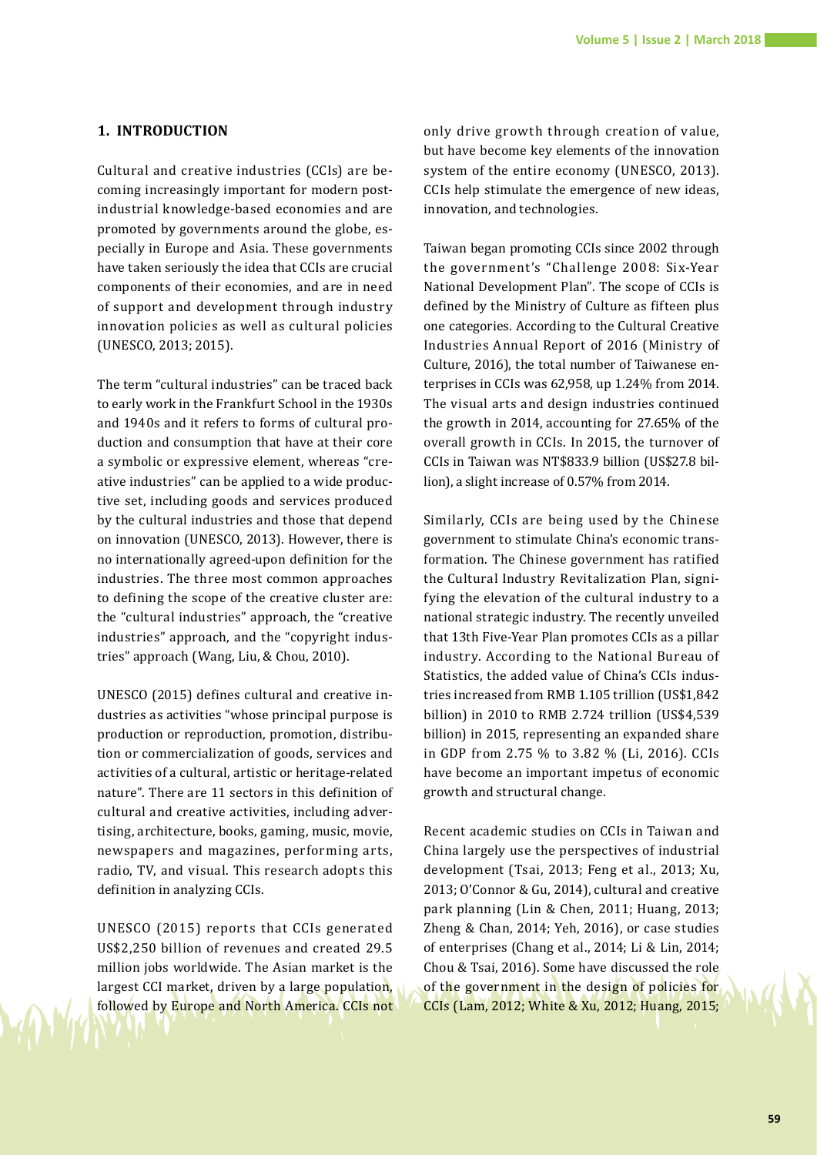## **1. INTRODUCTION**

Cultural and creative industries (CCIs) are becoming increasingly important for modern postindustrial knowledge-based economies and are promoted by governments around the globe, especially in Europe and Asia. These governments have taken seriously the idea that CCIs are crucial components of their economies, and are in need of support and development through industry innovation policies as well as cultural policies (UNESCO, 2013; 2015).

The term "cultural industries" can be traced back to early work in the Frankfurt School in the 1930s and 1940s and it refers to forms of cultural production and consumption that have at their core a symbolic or expressive element, whereas "creative industries" can be applied to a wide productive set, including goods and services produced by the cultural industries and those that depend on innovation (UNESCO, 2013). However, there is no internationally agreed-upon definition for the industries. The three most common approaches to defining the scope of the creative cluster are: the "cultural industries" approach, the "creative industries" approach, and the "copyright industries" approach (Wang, Liu, & Chou, 2010).

UNESCO (2015) defines cultural and creative industries as activities "whose principal purpose is production or reproduction, promotion, distribution or commercialization of goods, services and activities of a cultural, artistic or heritage-related nature". There are 11 sectors in this definition of cultural and creative activities, including advertising, architecture, books, gaming, music, movie, newspapers and magazines, performing arts, radio, TV, and visual. This research adopts this definition in analyzing CCIs.

UNESCO (2015) reports that CCIs generated US\$2,250 billion of revenues and created 29.5 million jobs worldwide. The Asian market is the largest CCI market, driven by a large population, followed by Europe and North America. CCIs not

only drive growth through creation of value, but have become key elements of the innovation system of the entire economy (UNESCO, 2013). CCIs help stimulate the emergence of new ideas, innovation, and technologies.

Taiwan began promoting CCIs since 2002 through the government's "Challenge 2008: Six-Year National Development Plan". The scope of CCIs is defined by the Ministry of Culture as fifteen plus one categories. According to the Cultural Creative Industries Annual Report of 2016 (Ministry of Culture, 2016), the total number of Taiwanese enterprises in CCIs was 62,958, up 1.24% from 2014. The visual arts and design industries continued the growth in 2014, accounting for 27.65% of the overall growth in CCIs. In 2015, the turnover of CCIs in Taiwan was NT\$833.9 billion (US\$27.8 billion), a slight increase of 0.57% from 2014.

Similarly, CCIs are being used by the Chinese government to stimulate China's economic transformation. The Chinese government has ratified the Cultural Industry Revitalization Plan, signifying the elevation of the cultural industry to a national strategic industry. The recently unveiled that 13th Five-Year Plan promotes CCIs as a pillar industry. According to the National Bureau of Statistics, the added value of China's CCIs industries increased from RMB 1.105 trillion (US\$1,842 billion) in 2010 to RMB 2.724 trillion (US\$4,539 billion) in 2015, representing an expanded share in GDP from 2.75 % to 3.82 % (Li, 2016). CCIs have become an important impetus of economic growth and structural change.

Recent academic studies on CCIs in Taiwan and China largely use the perspectives of industrial development (Tsai, 2013; Feng et al., 2013; Xu, 2013; O'Connor & Gu, 2014), cultural and creative park planning (Lin & Chen, 2011; Huang, 2013; Zheng & Chan, 2014; Yeh, 2016), or case studies of enterprises (Chang et al., 2014; Li & Lin, 2014; Chou & Tsai, 2016). Some have discussed the role of the government in the design of policies for CCIs (Lam, 2012; White & Xu, 2012; Huang, 2015;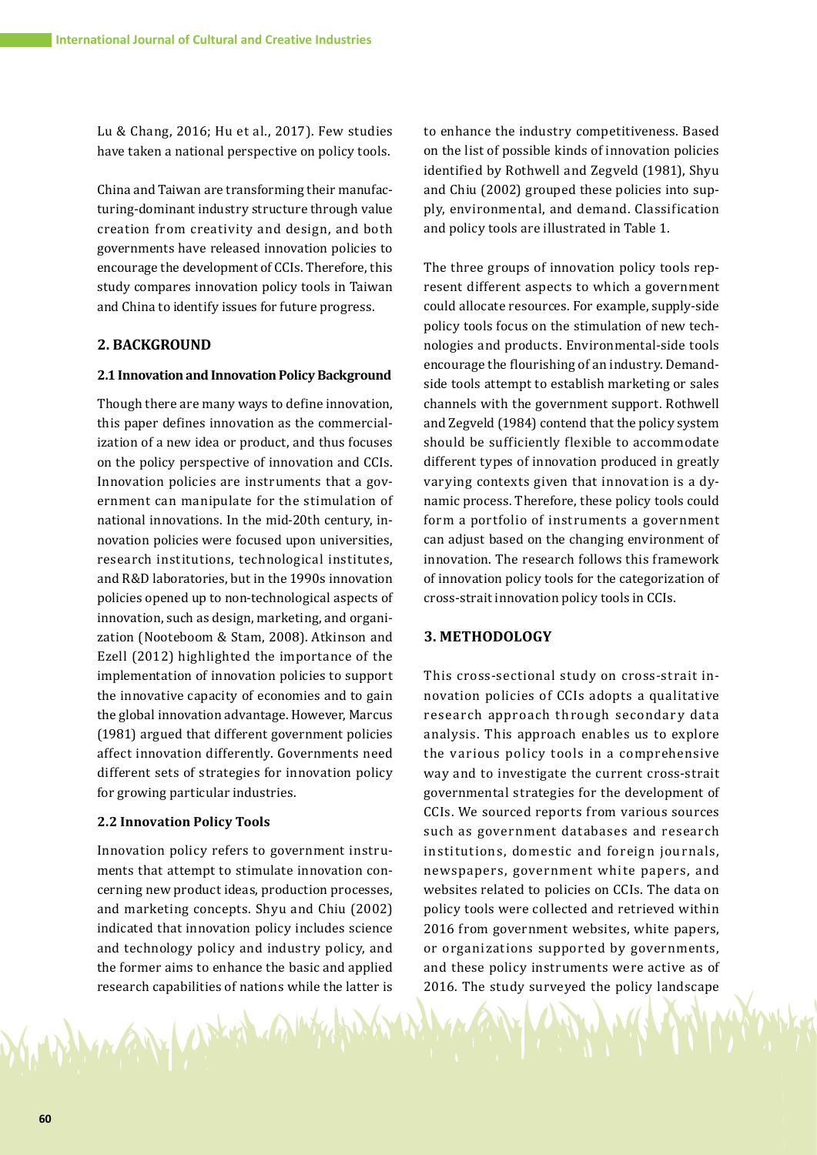Lu & Chang, 2016; Hu et al., 2017). Few studies have taken a national perspective on policy tools.

China and Taiwan are transforming their manufacturing-dominant industry structure through value creation from creativity and design, and both governments have released innovation policies to encourage the development of CCIs. Therefore, this study compares innovation policy tools in Taiwan and China to identify issues for future progress.

## **2. BACKGROUND**

#### **2.1 Innovation and Innovation Policy Background**

Though there are many ways to define innovation, this paper defines innovation as the commercialization of a new idea or product, and thus focuses on the policy perspective of innovation and CCIs. Innovation policies are instruments that a government can manipulate for the stimulation of national innovations. In the mid-20th century, innovation policies were focused upon universities, research institutions, technological institutes, and R&D laboratories, but in the 1990s innovation policies opened up to non-technological aspects of innovation, such as design, marketing, and organization (Nooteboom & Stam, 2008). Atkinson and Ezell (2012) highlighted the importance of the implementation of innovation policies to support the innovative capacity of economies and to gain the global innovation advantage. However, Marcus (1981) argued that different government policies affect innovation differently. Governments need different sets of strategies for innovation policy for growing particular industries.

#### **2.2 Innovation Policy Tools**

MAN Woking

Innovation policy refers to government instruments that attempt to stimulate innovation concerning new product ideas, production processes, and marketing concepts. Shyu and Chiu (2002) indicated that innovation policy includes science and technology policy and industry policy, and the former aims to enhance the basic and applied research capabilities of nations while the latter is

to enhance the industry competitiveness. Based on the list of possible kinds of innovation policies identified by Rothwell and Zegveld (1981), Shyu and Chiu (2002) grouped these policies into supply, environmental, and demand. Classification and policy tools are illustrated in Table 1.

The three groups of innovation policy tools represent different aspects to which a government could allocate resources. For example, supply-side policy tools focus on the stimulation of new technologies and products. Environmental-side tools encourage the flourishing of an industry. Demandside tools attempt to establish marketing or sales channels with the government support. Rothwell and Zegveld (1984) contend that the policy system should be sufficiently flexible to accommodate different types of innovation produced in greatly varying contexts given that innovation is a dynamic process. Therefore, these policy tools could form a portfolio of instruments a government can adjust based on the changing environment of innovation. The research follows this framework of innovation policy tools for the categorization of cross-strait innovation policy tools in CCIs.

## **3. METHODOLOGY**

This cross-sectional study on cross-strait innovation policies of CCIs adopts a qualitative research approach through secondary data analysis. This approach enables us to explore the various policy tools in a comprehensive way and to investigate the current cross-strait governmental strategies for the development of CCIs. We sourced reports from various sources such as government databases and research institutions, domestic and foreign journals, newspapers, government white papers, and websites related to policies on CCIs. The data on policy tools were collected and retrieved within 2016 from government websites, white papers, or organizations supported by governments, and these policy instruments were active as of 2016. The study surveyed the policy landscape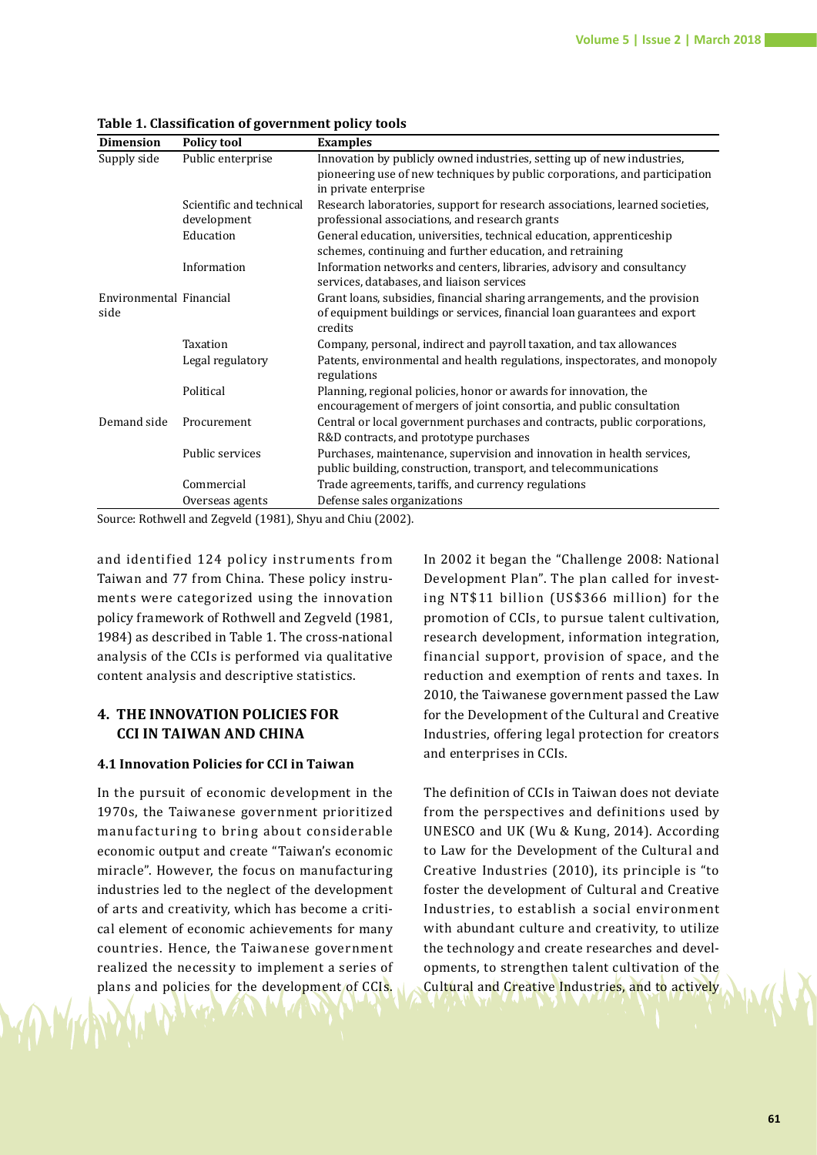| <b>Dimension</b>                | <b>Policy tool</b>                                                                                                                           | <b>Examples</b>                                                                                                                                                  |  |  |
|---------------------------------|----------------------------------------------------------------------------------------------------------------------------------------------|------------------------------------------------------------------------------------------------------------------------------------------------------------------|--|--|
| Supply side                     | Public enterprise                                                                                                                            | Innovation by publicly owned industries, setting up of new industries,                                                                                           |  |  |
|                                 |                                                                                                                                              | pioneering use of new techniques by public corporations, and participation                                                                                       |  |  |
|                                 |                                                                                                                                              | in private enterprise                                                                                                                                            |  |  |
|                                 | Scientific and technical<br>development                                                                                                      | Research laboratories, support for research associations, learned societies,<br>professional associations, and research grants                                   |  |  |
|                                 | Education                                                                                                                                    | General education, universities, technical education, apprenticeship                                                                                             |  |  |
|                                 |                                                                                                                                              | schemes, continuing and further education, and retraining                                                                                                        |  |  |
|                                 | Information                                                                                                                                  | Information networks and centers, libraries, advisory and consultancy<br>services, databases, and liaison services                                               |  |  |
| Environmental Financial<br>side |                                                                                                                                              | Grant loans, subsidies, financial sharing arrangements, and the provision<br>of equipment buildings or services, financial loan guarantees and export<br>credits |  |  |
|                                 | Taxation                                                                                                                                     | Company, personal, indirect and payroll taxation, and tax allowances                                                                                             |  |  |
|                                 | Legal regulatory                                                                                                                             | Patents, environmental and health regulations, inspectorates, and monopoly<br>regulations                                                                        |  |  |
|                                 | Political                                                                                                                                    | Planning, regional policies, honor or awards for innovation, the<br>encouragement of mergers of joint consortia, and public consultation                         |  |  |
| Demand side                     | Procurement                                                                                                                                  | Central or local government purchases and contracts, public corporations,<br>R&D contracts, and prototype purchases                                              |  |  |
|                                 | Public services                                                                                                                              | Purchases, maintenance, supervision and innovation in health services,<br>public building, construction, transport, and telecommunications                       |  |  |
|                                 | Commercial                                                                                                                                   | Trade agreements, tariffs, and currency regulations                                                                                                              |  |  |
|                                 | Overseas agents                                                                                                                              | Defense sales organizations                                                                                                                                      |  |  |
|                                 | $C_{\text{oumon}}$ , $\text{Rathu}$ and $\text{Rant}$ $\text{Rant}$ $\text{Rant}$ $\text{Rent}$ $\text{Rent}$ and $\text{Rit}$ $\text{Rent}$ |                                                                                                                                                                  |  |  |

**Table 1. Classification of government policy tools**

Source: Rothwell and Zegveld (1981), Shyu and Chiu (2002).

and identified 124 policy instruments from Taiwan and 77 from China. These policy instruments were categorized using the innovation policy framework of Rothwell and Zegveld (1981, 1984) as described in Table 1. The cross-national analysis of the CCIs is performed via qualitative content analysis and descriptive statistics.

## **4. THE INNOVATION POLICIES FOR CCI IN TAIWAN AND CHINA**

## **4.1 Innovation Policies for CCI in Taiwan**

In the pursuit of economic development in the 1970s, the Taiwanese government prioritized manufacturing to bring about considerable economic output and create "Taiwan's economic miracle". However, the focus on manufacturing industries led to the neglect of the development of arts and creativity, which has become a critical element of economic achievements for many countries. Hence, the Taiwanese government realized the necessity to implement a series of plans and policies for the development of CCIs. In 2002 it began the "Challenge 2008: National Development Plan". The plan called for investing NT\$11 billion (US\$366 million) for the promotion of CCIs, to pursue talent cultivation, research development, information integration, financial support, provision of space, and the reduction and exemption of rents and taxes. In 2010, the Taiwanese government passed the Law for the Development of the Cultural and Creative Industries, offering legal protection for creators and enterprises in CCIs.

The definition of CCIs in Taiwan does not deviate from the perspectives and definitions used by UNESCO and UK (Wu & Kung, 2014). According to Law for the Development of the Cultural and Creative Industries (2010), its principle is "to foster the development of Cultural and Creative Industries, to establish a social environment with abundant culture and creativity, to utilize the technology and create researches and developments, to strengthen talent cultivation of the Cultural and Creative Industries, and to actively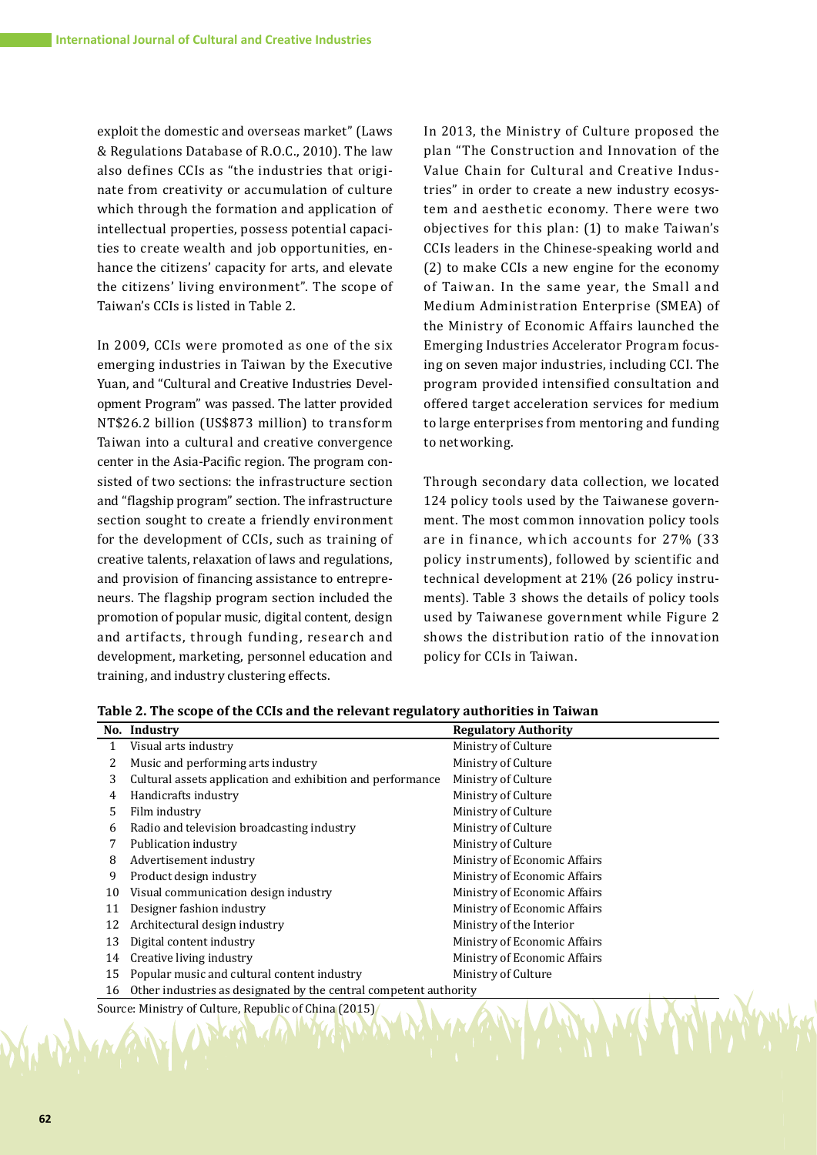exploit the domestic and overseas market" (Laws & Regulations Database of R.O.C., 2010). The law also defines CCIs as "the industries that originate from creativity or accumulation of culture which through the formation and application of intellectual properties, possess potential capacities to create wealth and job opportunities, enhance the citizens' capacity for arts, and elevate the citizens' living environment". The scope of Taiwan's CCIs is listed in Table 2.

In 2009, CCIs were promoted as one of the six emerging industries in Taiwan by the Executive Yuan, and "Cultural and Creative Industries Development Program" was passed. The latter provided NT\$26.2 billion (US\$873 million) to transform Taiwan into a cultural and creative convergence center in the Asia-Pacific region. The program consisted of two sections: the infrastructure section and "flagship program" section. The infrastructure section sought to create a friendly environment for the development of CCIs, such as training of creative talents, relaxation of laws and regulations, and provision of financing assistance to entrepreneurs. The flagship program section included the promotion of popular music, digital content, design and artifacts, through funding, research and development, marketing, personnel education and training, and industry clustering effects.

In 2013, the Ministry of Culture proposed the plan "The Construction and Innovation of the Value Chain for Cultural and Creative Industries" in order to create a new industry ecosystem and aesthetic economy. There were two objectives for this plan: (1) to make Taiwan's CCIs leaders in the Chinese-speaking world and (2) to make CCIs a new engine for the economy of Taiwan. In the same year, the Small and Medium Administration Enterprise (SMEA) of the Ministry of Economic Affairs launched the Emerging Industries Accelerator Program focusing on seven major industries, including CCI. The program provided intensified consultation and offered target acceleration services for medium to large enterprises from mentoring and funding to networking.

Through secondary data collection, we located 124 policy tools used by the Taiwanese government. The most common innovation policy tools are in finance, which accounts for 27% (33 policy instruments), followed by scientific and technical development at 21% (26 policy instruments). Table 3 shows the details of policy tools used by Taiwanese government while Figure 2 shows the distribution ratio of the innovation policy for CCIs in Taiwan.

|    | No. Industry                                                      | <b>Regulatory Authority</b>  |
|----|-------------------------------------------------------------------|------------------------------|
| 1  | Visual arts industry                                              | Ministry of Culture          |
| 2  | Music and performing arts industry                                | Ministry of Culture          |
| 3  | Cultural assets application and exhibition and performance        | Ministry of Culture          |
| 4  | Handicrafts industry                                              | Ministry of Culture          |
| 5  | Film industry                                                     | Ministry of Culture          |
| 6  | Radio and television broadcasting industry                        | Ministry of Culture          |
|    | Publication industry                                              | Ministry of Culture          |
| 8  | Advertisement industry                                            | Ministry of Economic Affairs |
| 9  | Product design industry                                           | Ministry of Economic Affairs |
| 10 | Visual communication design industry                              | Ministry of Economic Affairs |
| 11 | Designer fashion industry                                         | Ministry of Economic Affairs |
| 12 | Architectural design industry                                     | Ministry of the Interior     |
| 13 | Digital content industry                                          | Ministry of Economic Affairs |
| 14 | Creative living industry                                          | Ministry of Economic Affairs |
| 15 | Popular music and cultural content industry                       | Ministry of Culture          |
| 16 | Other industries as designated by the central competent authority |                              |
|    | Source: Ministry of Culture, Republic of China (2015)             |                              |

**Table 2. The scope of the CCIs and the relevant regulatory authorities in Taiwan**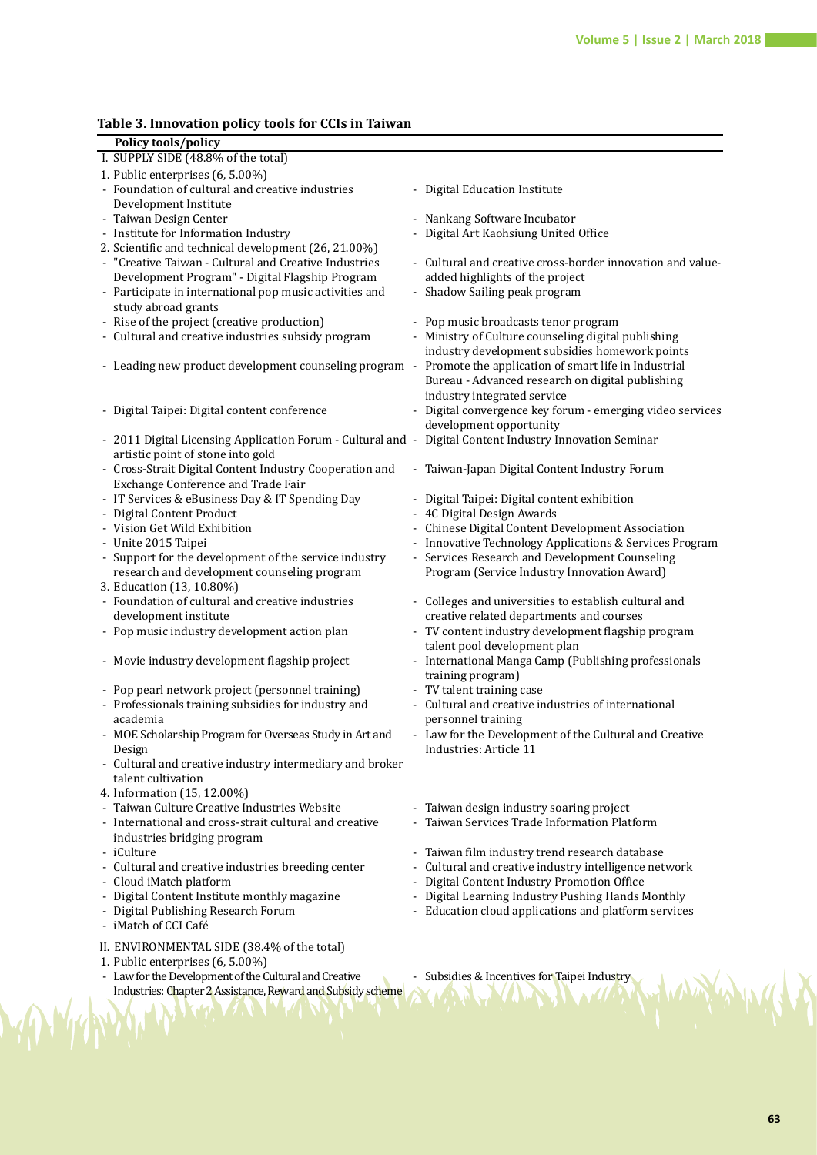## **Table 3. Innovation policy tools for CCIs in Taiwan**

| Policy tools/policy                          |                                                             |                                                                                                         |
|----------------------------------------------|-------------------------------------------------------------|---------------------------------------------------------------------------------------------------------|
| I. SUPPLY SIDE (48.8% of the total)          |                                                             |                                                                                                         |
| 1. Public enterprises (6, 5.00%)             |                                                             |                                                                                                         |
|                                              | - Foundation of cultural and creative industries            | - Digital Education Institute                                                                           |
| Development Institute                        |                                                             |                                                                                                         |
| - Taiwan Design Center                       |                                                             | - Nankang Software Incubator                                                                            |
| - Institute for Information Industry         |                                                             | - Digital Art Kaohsiung United Office                                                                   |
|                                              | 2. Scientific and technical development (26, 21.00%)        |                                                                                                         |
|                                              | - "Creative Taiwan - Cultural and Creative Industries       | - Cultural and creative cross-border innovation and value-                                              |
|                                              | Development Program" - Digital Flagship Program             | added highlights of the project                                                                         |
|                                              | - Participate in international pop music activities and     | - Shadow Sailing peak program                                                                           |
| study abroad grants                          |                                                             |                                                                                                         |
| - Rise of the project (creative production)  |                                                             | - Pop music broadcasts tenor program                                                                    |
|                                              | - Cultural and creative industries subsidy program          | - Ministry of Culture counseling digital publishing                                                     |
|                                              |                                                             | industry development subsidies homework points                                                          |
|                                              | - Leading new product development counseling program -      | Promote the application of smart life in Industrial                                                     |
|                                              |                                                             | Bureau - Advanced research on digital publishing                                                        |
|                                              |                                                             | industry integrated service                                                                             |
| - Digital Taipei: Digital content conference |                                                             | - Digital convergence key forum - emerging video services                                               |
|                                              |                                                             | development opportunity                                                                                 |
|                                              |                                                             | - 2011 Digital Licensing Application Forum - Cultural and - Digital Content Industry Innovation Seminar |
| artistic point of stone into gold            |                                                             |                                                                                                         |
|                                              | - Cross-Strait Digital Content Industry Cooperation and     | - Taiwan-Japan Digital Content Industry Forum                                                           |
| Exchange Conference and Trade Fair           |                                                             |                                                                                                         |
|                                              | - IT Services & eBusiness Day & IT Spending Day             | - Digital Taipei: Digital content exhibition                                                            |
| - Digital Content Product                    |                                                             | - 4C Digital Design Awards                                                                              |
| - Vision Get Wild Exhibition                 |                                                             | - Chinese Digital Content Development Association                                                       |
| - Unite 2015 Taipei                          |                                                             | - Innovative Technology Applications & Services Program                                                 |
|                                              | - Support for the development of the service industry       | - Services Research and Development Counseling                                                          |
|                                              | research and development counseling program                 | Program (Service Industry Innovation Award)                                                             |
| 3. Education (13, 10.80%)                    |                                                             |                                                                                                         |
|                                              | - Foundation of cultural and creative industries            | - Colleges and universities to establish cultural and                                                   |
| development institute                        |                                                             | creative related departments and courses                                                                |
|                                              | - Pop music industry development action plan                | - TV content industry development flagship program                                                      |
|                                              |                                                             | talent pool development plan                                                                            |
|                                              | - Movie industry development flagship project               | - International Manga Camp (Publishing professionals                                                    |
|                                              |                                                             | training program)                                                                                       |
|                                              | - Pop pearl network project (personnel training)            | - TV talent training case                                                                               |
|                                              | - Professionals training subsidies for industry and         | - Cultural and creative industries of international                                                     |
| academia                                     |                                                             | personnel training                                                                                      |
|                                              | MOE Scholarship Program for Overseas Study in Art and       | - Law for the Development of the Cultural and Creative                                                  |
| Design                                       |                                                             | Industries: Article 11                                                                                  |
|                                              | - Cultural and creative industry intermediary and broker    |                                                                                                         |
| talent cultivation                           |                                                             |                                                                                                         |
| 4. Information (15, 12.00%)                  |                                                             |                                                                                                         |
|                                              | - Taiwan Culture Creative Industries Website                | - Taiwan design industry soaring project                                                                |
|                                              | - International and cross-strait cultural and creative      | Taiwan Services Trade Information Platform                                                              |
| industries bridging program                  |                                                             |                                                                                                         |
| - iCulture                                   |                                                             | Taiwan film industry trend research database                                                            |
|                                              | - Cultural and creative industries breeding center          | Cultural and creative industry intelligence network                                                     |
| - Cloud iMatch platform                      |                                                             | Digital Content Industry Promotion Office                                                               |
|                                              | - Digital Content Institute monthly magazine                | Digital Learning Industry Pushing Hands Monthly                                                         |
| - Digital Publishing Research Forum          |                                                             | - Education cloud applications and platform services                                                    |
| - iMatch of CCI Café                         |                                                             |                                                                                                         |
|                                              | II. ENVIRONMENTAL SIDE (38.4% of the total)                 |                                                                                                         |
| 1. Public enterprises (6, 5.00%)             |                                                             |                                                                                                         |
|                                              | - Law for the Development of the Cultural and Creative      | - Subsidies & Incentives for Taipei Industry                                                            |
|                                              | Industries: Chapter 2 Assistance, Reward and Subsidy scheme |                                                                                                         |
|                                              |                                                             |                                                                                                         |
|                                              |                                                             |                                                                                                         |

Ň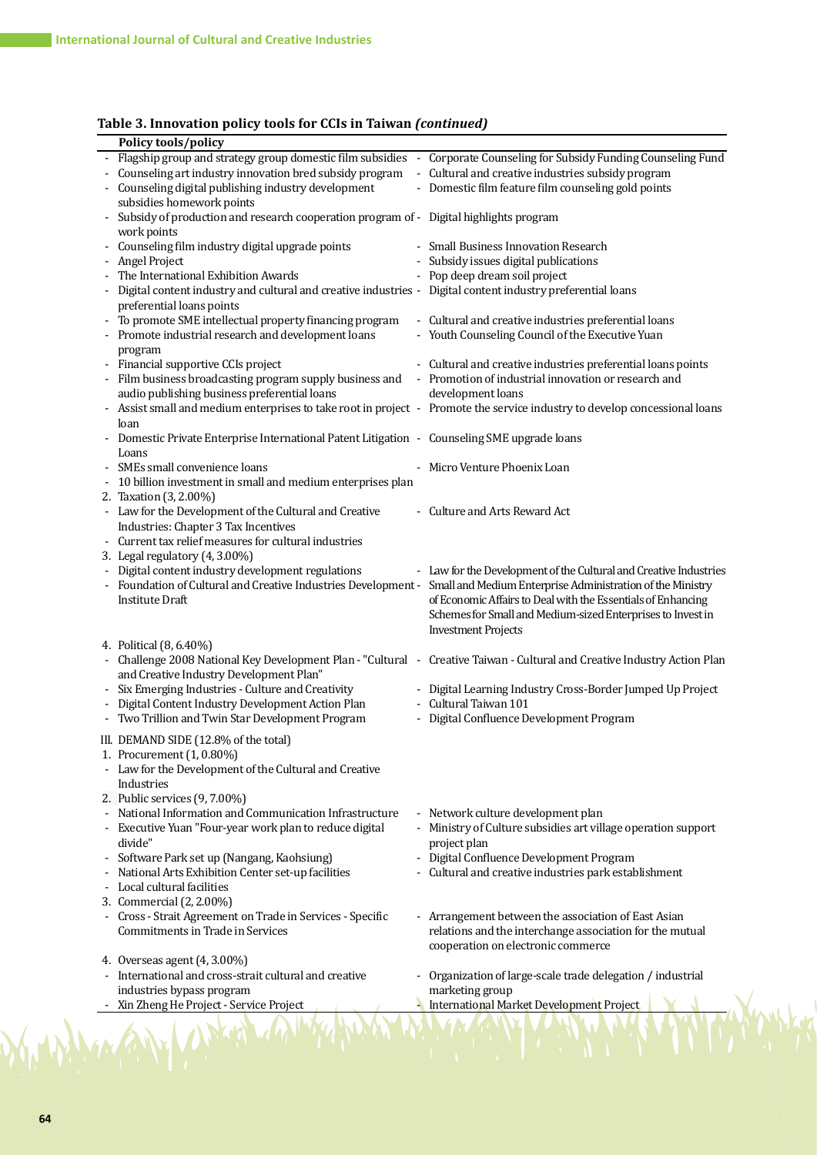## **Table 3. Innovation policy tools for CCIs in Taiwan** *(continued)*

| Policy tools/policy                                                                                                      |                                                                   |
|--------------------------------------------------------------------------------------------------------------------------|-------------------------------------------------------------------|
| Flagship group and strategy group domestic film subsidies - Corporate Counseling for Subsidy Funding Counseling Fund     |                                                                   |
| Counseling art industry innovation bred subsidy program                                                                  | - Cultural and creative industries subsidy program                |
| Counseling digital publishing industry development                                                                       | - Domestic film feature film counseling gold points               |
| subsidies homework points                                                                                                |                                                                   |
| Subsidy of production and research cooperation program of - Digital highlights program                                   |                                                                   |
| work points                                                                                                              |                                                                   |
| Counseling film industry digital upgrade points                                                                          | - Small Business Innovation Research                              |
| Angel Project                                                                                                            | - Subsidy issues digital publications                             |
| The International Exhibition Awards                                                                                      | - Pop deep dream soil project                                     |
| Digital content industry and cultural and creative industries - Digital content industry preferential loans              |                                                                   |
| preferential loans points                                                                                                |                                                                   |
| To promote SME intellectual property financing program                                                                   | - Cultural and creative industries preferential loans             |
| Promote industrial research and development loans                                                                        | - Youth Counseling Council of the Executive Yuan                  |
| program                                                                                                                  |                                                                   |
| - Financial supportive CCIs project                                                                                      | - Cultural and creative industries preferential loans points      |
| Film business broadcasting program supply business and                                                                   | - Promotion of industrial innovation or research and              |
| audio publishing business preferential loans                                                                             | development loans                                                 |
| Assist small and medium enterprises to take root in project - Promote the service industry to develop concessional loans |                                                                   |
| loan                                                                                                                     |                                                                   |
| Domestic Private Enterprise International Patent Litigation - Counseling SME upgrade loans                               |                                                                   |
| Loans                                                                                                                    |                                                                   |
| SMEs small convenience loans                                                                                             | - Micro Venture Phoenix Loan                                      |
| 10 billion investment in small and medium enterprises plan                                                               |                                                                   |
| 2. Taxation (3, 2.00%)                                                                                                   |                                                                   |
| - Law for the Development of the Cultural and Creative                                                                   | - Culture and Arts Reward Act                                     |
| Industries: Chapter 3 Tax Incentives                                                                                     |                                                                   |
| Current tax relief measures for cultural industries                                                                      |                                                                   |
| 3. Legal regulatory (4, 3.00%)                                                                                           |                                                                   |
| - Digital content industry development regulations                                                                       | - Law for the Development of the Cultural and Creative Industries |
| Foundation of Cultural and Creative Industries Development -                                                             | Small and Medium Enterprise Administration of the Ministry        |
| <b>Institute Draft</b>                                                                                                   | of Economic Affairs to Deal with the Essentials of Enhancing      |
|                                                                                                                          | Schemes for Small and Medium-sized Enterprises to Invest in       |
|                                                                                                                          | <b>Investment Projects</b>                                        |
| 4. Political (8, 6.40%)                                                                                                  |                                                                   |
| Challenge 2008 National Key Development Plan - "Cultural - Creative Taiwan - Cultural and Creative Industry Action Plan  |                                                                   |
| and Creative Industry Development Plan"                                                                                  |                                                                   |
| Six Emerging Industries - Culture and Creativity                                                                         | - Digital Learning Industry Cross-Border Jumped Up Project        |
| Digital Content Industry Development Action Plan                                                                         | - Cultural Taiwan 101                                             |
| - Two Trillion and Twin Star Development Program                                                                         | - Digital Confluence Development Program                          |
| III. DEMAND SIDE (12.8% of the total)                                                                                    |                                                                   |
| 1. Procurement (1, 0.80%)                                                                                                |                                                                   |
| - Law for the Development of the Cultural and Creative                                                                   |                                                                   |
| Industries                                                                                                               |                                                                   |
| 2. Public services (9, 7.00%)                                                                                            |                                                                   |
| National Information and Communication Infrastructure                                                                    | - Network culture development plan                                |
| Executive Yuan "Four-year work plan to reduce digital                                                                    | - Ministry of Culture subsidies art village operation support     |
| divide"                                                                                                                  | project plan                                                      |
| Software Park set up (Nangang, Kaohsiung)                                                                                | - Digital Confluence Development Program                          |
| National Arts Exhibition Center set-up facilities                                                                        | - Cultural and creative industries park establishment             |
| Local cultural facilities                                                                                                |                                                                   |
| 3. Commercial (2, 2.00%)                                                                                                 |                                                                   |
| - Cross - Strait Agreement on Trade in Services - Specific                                                               | - Arrangement between the association of East Asian               |
| Commitments in Trade in Services                                                                                         | relations and the interchange association for the mutual          |
|                                                                                                                          | cooperation on electronic commerce                                |
| 4. Overseas agent (4, 3.00%)                                                                                             |                                                                   |
| International and cross-strait cultural and creative                                                                     | Organization of large-scale trade delegation / industrial         |
|                                                                                                                          | marketing group                                                   |
| industries bypass program                                                                                                |                                                                   |
|                                                                                                                          |                                                                   |
| Xin Zheng He Project - Service Project                                                                                   | International Market Development Project                          |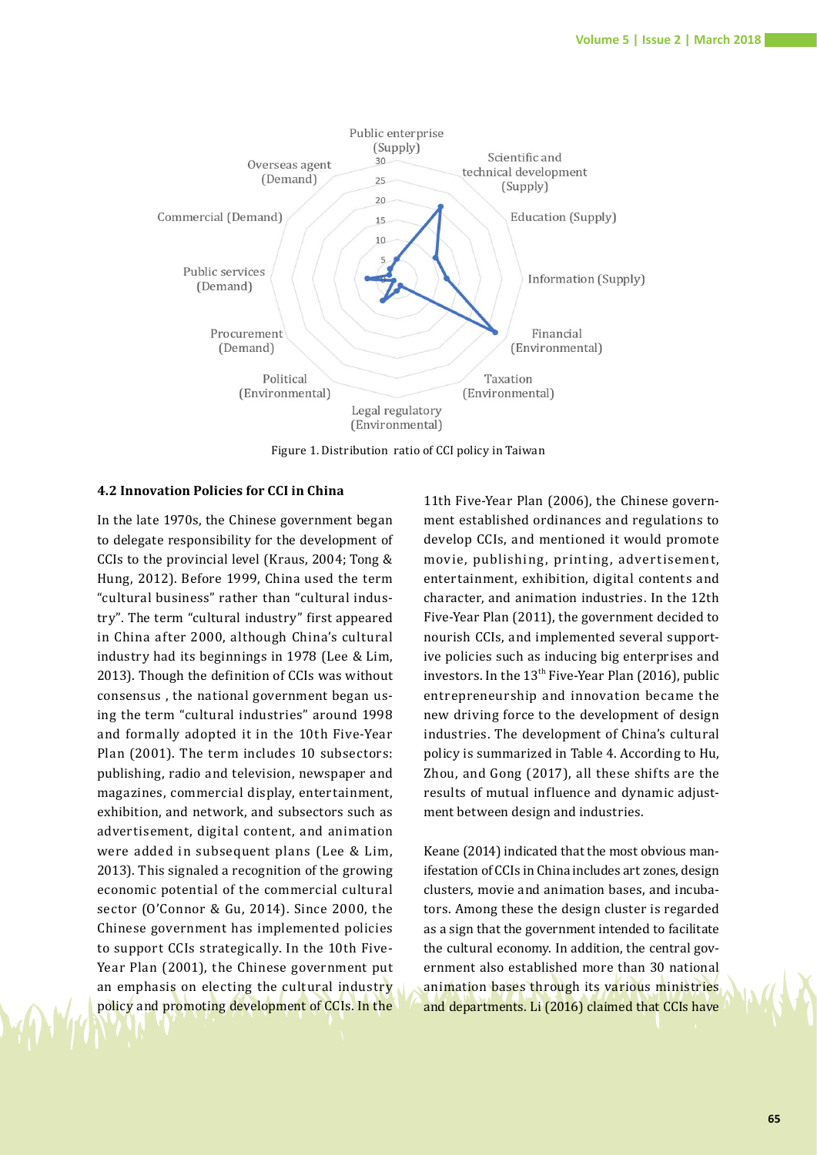

Figure 1. Distribution ratio of CCI policy in Taiwan

## **4.2 Innovation Policies for CCI in China**

In the late 1970s, the Chinese government began to delegate responsibility for the development of CCIs to the provincial level (Kraus, 2004; Tong & Hung, 2012). Before 1999, China used the term "cultural business" rather than "cultural industry". The term "cultural industry" first appeared in China after 2000, although China's cultural industry had its beginnings in 1978 (Lee & Lim, 2013). Though the definition of CCIs was without consensus , the national government began using the term "cultural industries" around 1998 and formally adopted it in the 10th Five-Year Plan (2001). The term includes 10 subsectors: publishing, radio and television, newspaper and magazines, commercial display, entertainment, exhibition, and network, and subsectors such as advertisement, digital content, and animation were added in subsequent plans (Lee & Lim, 2013). This signaled a recognition of the growing economic potential of the commercial cultural sector (O'Connor & Gu, 2014). Since 2000, the Chinese government has implemented policies to support CCIs strategically. In the 10th Five-Year Plan (2001), the Chinese government put an emphasis on electing the cultural industry policy and promoting development of CCIs. In the **Figure 3.** The distribution ratio of CCI policies in China

11th Five-Year Plan (2006), the Chinese government established ordinances and regulations to develop CCIs, and mentioned it would promote movie, publishing, printing, advertisement, entertainment, exhibition, digital contents and character, and animation industries. In the 12th Five-Year Plan (2011), the government decided to nourish CCIs, and implemented several supportive policies such as inducing big enterprises and investors. In the  $13<sup>th</sup>$  Five-Year Plan (2016), public entrepreneurship and innovation became the new driving force to the development of design industries. The development of China's cultural policy is summarized in Table 4. According to Hu, Zhou, and Gong (2017), all these shifts are the results of mutual influence and dynamic adjustment between design and industries.

Keane (2014) indicated that the most obvious manifestation of CCIs in China includes art zones, design clusters, movie and animation bases, and incubators. Among these the design cluster is regarded as a sign that the government intended to facilitate the cultural economy. In addition, the central government also established more than 30 national animation bases through its various ministries and departments. Li (2016) claimed that CCIs have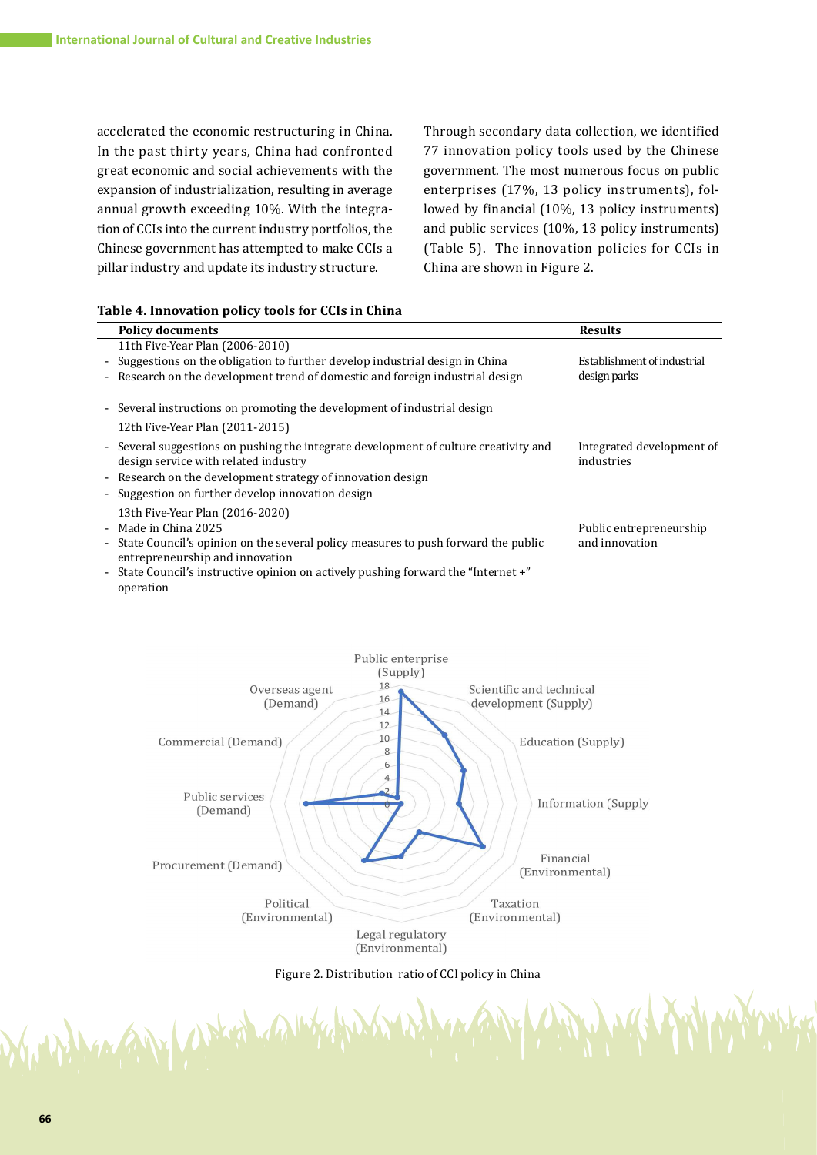accelerated the economic restructuring in China. In the past thirty years, China had confronted great economic and social achievements with the expansion of industrialization, resulting in average annual growth exceeding 10%. With the integration of CCIs into the current industry portfolios, the Chinese government has attempted to make CCIs a pillar industry and update its industry structure.

Through secondary data collection, we identified 77 innovation policy tools used by the Chinese government. The most numerous focus on public enterprises (17%, 13 policy instruments), followed by financial (10%, 13 policy instruments) and public services (10%, 13 policy instruments) (Table 5). The innovation policies for CCIs in China are shown in Figure 2.

#### **Table 4. Innovation policy tools for CCIs in China**

U. Phillip

| <b>Policy documents</b>                                                                                                      | <b>Results</b>                          |  |
|------------------------------------------------------------------------------------------------------------------------------|-----------------------------------------|--|
| 11th Five-Year Plan (2006-2010)                                                                                              |                                         |  |
| - Suggestions on the obligation to further develop industrial design in China                                                | Establishment of industrial             |  |
| - Research on the development trend of domestic and foreign industrial design                                                | design parks                            |  |
| - Several instructions on promoting the development of industrial design                                                     |                                         |  |
| 12th Five-Year Plan (2011-2015)                                                                                              |                                         |  |
| - Several suggestions on pushing the integrate development of culture creativity and<br>design service with related industry | Integrated development of<br>industries |  |
| - Research on the development strategy of innovation design                                                                  |                                         |  |
| - Suggestion on further develop innovation design                                                                            |                                         |  |
| 13th Five-Year Plan (2016-2020)                                                                                              |                                         |  |
| - Made in China 2025                                                                                                         | Public entrepreneurship                 |  |
| - State Council's opinion on the several policy measures to push forward the public<br>entrepreneurship and innovation       | and innovation                          |  |
| - State Council's instructive opinion on actively pushing forward the "Internet +"                                           |                                         |  |
| operation                                                                                                                    |                                         |  |



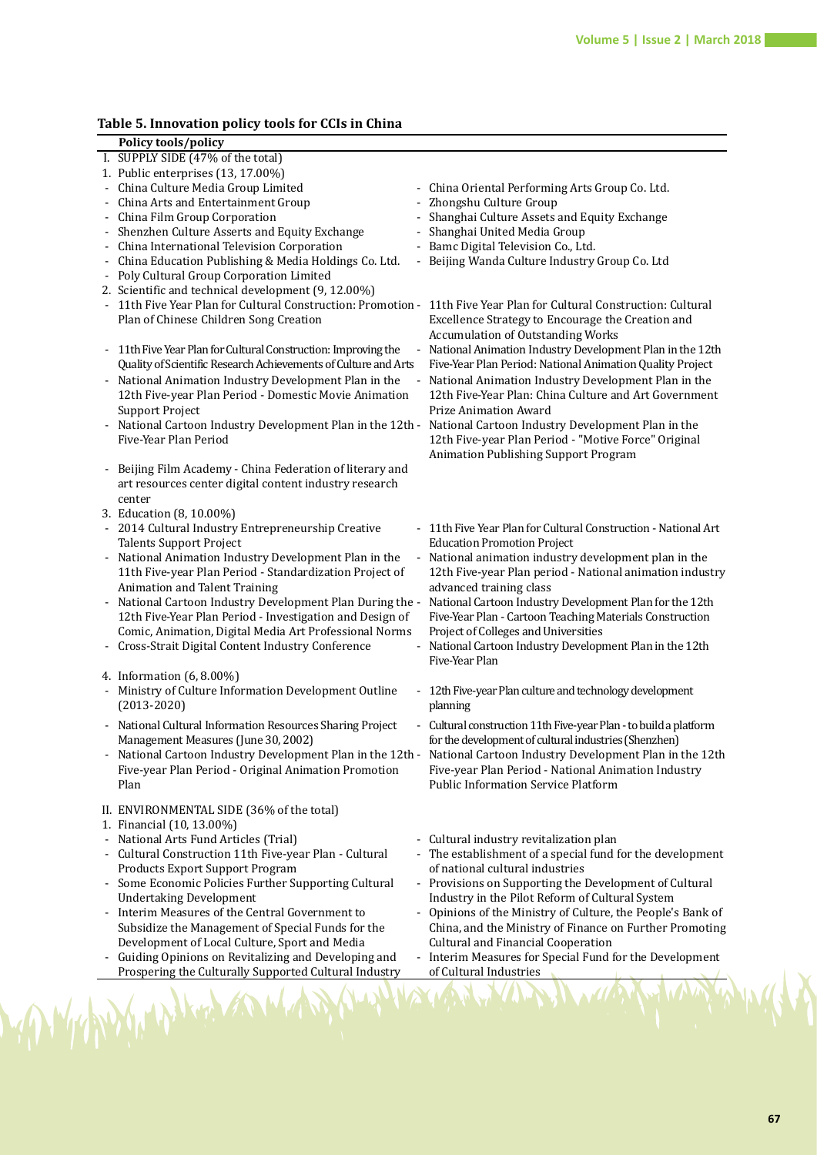## **Table 5. Innovation policy tools for CCIs in China**

| 1. Public enterprises (13, 17.00%)<br>- China Culture Media Group Limited<br>- China Arts and Entertainment Group<br>- China Film Group Corporation<br>- Shenzhen Culture Asserts and Equity Exchange<br>- China International Television Corporation<br>- China Education Publishing & Media Holdings Co. Ltd.<br>- Poly Cultural Group Corporation Limited<br>2. Scientific and technical development (9, 12.00%)<br>Plan of Chinese Children Song Creation<br>- 11th Five Year Plan for Cultural Construction: Improving the<br>Quality of Scientific Research Achievements of Culture and Arts<br>- National Animation Industry Development Plan in the<br>12th Five-year Plan Period - Domestic Movie Animation<br><b>Support Project</b><br>Five-Year Plan Period<br>- Beijing Film Academy - China Federation of literary and<br>art resources center digital content industry research<br>center<br>3. Education (8, 10.00%)<br>- 2014 Cultural Industry Entrepreneurship Creative<br><b>Talents Support Project</b><br>- National Animation Industry Development Plan in the<br>11th Five-year Plan Period - Standardization Project of<br>Animation and Talent Training<br>12th Five-Year Plan Period - Investigation and Design of<br>Comic, Animation, Digital Media Art Professional Norms<br>- Cross-Strait Digital Content Industry Conference<br>4. Information (6, 8.00%)<br>- Ministry of Culture Information Development Outline<br>$(2013 - 2020)$<br>- National Cultural Information Resources Sharing Project<br>Management Measures (June 30, 2002)<br>National Cartoon Industry Development Plan in the 12th -<br>Five-year Plan Period - Original Animation Promotion<br>Plan<br>II. ENVIRONMENTAL SIDE (36% of the total)<br>1. Financial (10, 13.00%)<br>- National Arts Fund Articles (Trial)<br>- Cultural Construction 11th Five-year Plan - Cultural<br>Products Export Support Program<br>- Some Economic Policies Further Supporting Cultural<br><b>Undertaking Development</b><br>- Interim Measures of the Central Government to | - China Oriental Performing Arts Group Co. Ltd.<br>- Zhongshu Culture Group<br>- Shanghai Culture Assets and Equity Exchange<br>- Shanghai United Media Group<br>- Bamc Digital Television Co., Ltd.<br>- Beijing Wanda Culture Industry Group Co. Ltd<br>- 11th Five Year Plan for Cultural Construction: Promotion - 11th Five Year Plan for Cultural Construction: Cultural<br>Excellence Strategy to Encourage the Creation and<br><b>Accumulation of Outstanding Works</b><br>- National Animation Industry Development Plan in the 12th<br>Five-Year Plan Period: National Animation Quality Project<br>- National Animation Industry Development Plan in the<br>12th Five-Year Plan: China Culture and Art Government<br><b>Prize Animation Award</b><br>- National Cartoon Industry Development Plan in the 12th - National Cartoon Industry Development Plan in the |
|---------------------------------------------------------------------------------------------------------------------------------------------------------------------------------------------------------------------------------------------------------------------------------------------------------------------------------------------------------------------------------------------------------------------------------------------------------------------------------------------------------------------------------------------------------------------------------------------------------------------------------------------------------------------------------------------------------------------------------------------------------------------------------------------------------------------------------------------------------------------------------------------------------------------------------------------------------------------------------------------------------------------------------------------------------------------------------------------------------------------------------------------------------------------------------------------------------------------------------------------------------------------------------------------------------------------------------------------------------------------------------------------------------------------------------------------------------------------------------------------------------------------------------------------------------------------------------------------------------------------------------------------------------------------------------------------------------------------------------------------------------------------------------------------------------------------------------------------------------------------------------------------------------------------------------------------------------------------------------------------------------------------------------------------------------------------|------------------------------------------------------------------------------------------------------------------------------------------------------------------------------------------------------------------------------------------------------------------------------------------------------------------------------------------------------------------------------------------------------------------------------------------------------------------------------------------------------------------------------------------------------------------------------------------------------------------------------------------------------------------------------------------------------------------------------------------------------------------------------------------------------------------------------------------------------------------------------|
|                                                                                                                                                                                                                                                                                                                                                                                                                                                                                                                                                                                                                                                                                                                                                                                                                                                                                                                                                                                                                                                                                                                                                                                                                                                                                                                                                                                                                                                                                                                                                                                                                                                                                                                                                                                                                                                                                                                                                                                                                                                                     |                                                                                                                                                                                                                                                                                                                                                                                                                                                                                                                                                                                                                                                                                                                                                                                                                                                                              |
|                                                                                                                                                                                                                                                                                                                                                                                                                                                                                                                                                                                                                                                                                                                                                                                                                                                                                                                                                                                                                                                                                                                                                                                                                                                                                                                                                                                                                                                                                                                                                                                                                                                                                                                                                                                                                                                                                                                                                                                                                                                                     |                                                                                                                                                                                                                                                                                                                                                                                                                                                                                                                                                                                                                                                                                                                                                                                                                                                                              |
|                                                                                                                                                                                                                                                                                                                                                                                                                                                                                                                                                                                                                                                                                                                                                                                                                                                                                                                                                                                                                                                                                                                                                                                                                                                                                                                                                                                                                                                                                                                                                                                                                                                                                                                                                                                                                                                                                                                                                                                                                                                                     |                                                                                                                                                                                                                                                                                                                                                                                                                                                                                                                                                                                                                                                                                                                                                                                                                                                                              |
|                                                                                                                                                                                                                                                                                                                                                                                                                                                                                                                                                                                                                                                                                                                                                                                                                                                                                                                                                                                                                                                                                                                                                                                                                                                                                                                                                                                                                                                                                                                                                                                                                                                                                                                                                                                                                                                                                                                                                                                                                                                                     |                                                                                                                                                                                                                                                                                                                                                                                                                                                                                                                                                                                                                                                                                                                                                                                                                                                                              |
|                                                                                                                                                                                                                                                                                                                                                                                                                                                                                                                                                                                                                                                                                                                                                                                                                                                                                                                                                                                                                                                                                                                                                                                                                                                                                                                                                                                                                                                                                                                                                                                                                                                                                                                                                                                                                                                                                                                                                                                                                                                                     |                                                                                                                                                                                                                                                                                                                                                                                                                                                                                                                                                                                                                                                                                                                                                                                                                                                                              |
|                                                                                                                                                                                                                                                                                                                                                                                                                                                                                                                                                                                                                                                                                                                                                                                                                                                                                                                                                                                                                                                                                                                                                                                                                                                                                                                                                                                                                                                                                                                                                                                                                                                                                                                                                                                                                                                                                                                                                                                                                                                                     |                                                                                                                                                                                                                                                                                                                                                                                                                                                                                                                                                                                                                                                                                                                                                                                                                                                                              |
|                                                                                                                                                                                                                                                                                                                                                                                                                                                                                                                                                                                                                                                                                                                                                                                                                                                                                                                                                                                                                                                                                                                                                                                                                                                                                                                                                                                                                                                                                                                                                                                                                                                                                                                                                                                                                                                                                                                                                                                                                                                                     |                                                                                                                                                                                                                                                                                                                                                                                                                                                                                                                                                                                                                                                                                                                                                                                                                                                                              |
|                                                                                                                                                                                                                                                                                                                                                                                                                                                                                                                                                                                                                                                                                                                                                                                                                                                                                                                                                                                                                                                                                                                                                                                                                                                                                                                                                                                                                                                                                                                                                                                                                                                                                                                                                                                                                                                                                                                                                                                                                                                                     |                                                                                                                                                                                                                                                                                                                                                                                                                                                                                                                                                                                                                                                                                                                                                                                                                                                                              |
|                                                                                                                                                                                                                                                                                                                                                                                                                                                                                                                                                                                                                                                                                                                                                                                                                                                                                                                                                                                                                                                                                                                                                                                                                                                                                                                                                                                                                                                                                                                                                                                                                                                                                                                                                                                                                                                                                                                                                                                                                                                                     |                                                                                                                                                                                                                                                                                                                                                                                                                                                                                                                                                                                                                                                                                                                                                                                                                                                                              |
|                                                                                                                                                                                                                                                                                                                                                                                                                                                                                                                                                                                                                                                                                                                                                                                                                                                                                                                                                                                                                                                                                                                                                                                                                                                                                                                                                                                                                                                                                                                                                                                                                                                                                                                                                                                                                                                                                                                                                                                                                                                                     |                                                                                                                                                                                                                                                                                                                                                                                                                                                                                                                                                                                                                                                                                                                                                                                                                                                                              |
|                                                                                                                                                                                                                                                                                                                                                                                                                                                                                                                                                                                                                                                                                                                                                                                                                                                                                                                                                                                                                                                                                                                                                                                                                                                                                                                                                                                                                                                                                                                                                                                                                                                                                                                                                                                                                                                                                                                                                                                                                                                                     |                                                                                                                                                                                                                                                                                                                                                                                                                                                                                                                                                                                                                                                                                                                                                                                                                                                                              |
|                                                                                                                                                                                                                                                                                                                                                                                                                                                                                                                                                                                                                                                                                                                                                                                                                                                                                                                                                                                                                                                                                                                                                                                                                                                                                                                                                                                                                                                                                                                                                                                                                                                                                                                                                                                                                                                                                                                                                                                                                                                                     |                                                                                                                                                                                                                                                                                                                                                                                                                                                                                                                                                                                                                                                                                                                                                                                                                                                                              |
|                                                                                                                                                                                                                                                                                                                                                                                                                                                                                                                                                                                                                                                                                                                                                                                                                                                                                                                                                                                                                                                                                                                                                                                                                                                                                                                                                                                                                                                                                                                                                                                                                                                                                                                                                                                                                                                                                                                                                                                                                                                                     |                                                                                                                                                                                                                                                                                                                                                                                                                                                                                                                                                                                                                                                                                                                                                                                                                                                                              |
|                                                                                                                                                                                                                                                                                                                                                                                                                                                                                                                                                                                                                                                                                                                                                                                                                                                                                                                                                                                                                                                                                                                                                                                                                                                                                                                                                                                                                                                                                                                                                                                                                                                                                                                                                                                                                                                                                                                                                                                                                                                                     |                                                                                                                                                                                                                                                                                                                                                                                                                                                                                                                                                                                                                                                                                                                                                                                                                                                                              |
|                                                                                                                                                                                                                                                                                                                                                                                                                                                                                                                                                                                                                                                                                                                                                                                                                                                                                                                                                                                                                                                                                                                                                                                                                                                                                                                                                                                                                                                                                                                                                                                                                                                                                                                                                                                                                                                                                                                                                                                                                                                                     |                                                                                                                                                                                                                                                                                                                                                                                                                                                                                                                                                                                                                                                                                                                                                                                                                                                                              |
|                                                                                                                                                                                                                                                                                                                                                                                                                                                                                                                                                                                                                                                                                                                                                                                                                                                                                                                                                                                                                                                                                                                                                                                                                                                                                                                                                                                                                                                                                                                                                                                                                                                                                                                                                                                                                                                                                                                                                                                                                                                                     |                                                                                                                                                                                                                                                                                                                                                                                                                                                                                                                                                                                                                                                                                                                                                                                                                                                                              |
|                                                                                                                                                                                                                                                                                                                                                                                                                                                                                                                                                                                                                                                                                                                                                                                                                                                                                                                                                                                                                                                                                                                                                                                                                                                                                                                                                                                                                                                                                                                                                                                                                                                                                                                                                                                                                                                                                                                                                                                                                                                                     | 12th Five-year Plan Period - "Motive Force" Original<br>Animation Publishing Support Program                                                                                                                                                                                                                                                                                                                                                                                                                                                                                                                                                                                                                                                                                                                                                                                 |
|                                                                                                                                                                                                                                                                                                                                                                                                                                                                                                                                                                                                                                                                                                                                                                                                                                                                                                                                                                                                                                                                                                                                                                                                                                                                                                                                                                                                                                                                                                                                                                                                                                                                                                                                                                                                                                                                                                                                                                                                                                                                     |                                                                                                                                                                                                                                                                                                                                                                                                                                                                                                                                                                                                                                                                                                                                                                                                                                                                              |
|                                                                                                                                                                                                                                                                                                                                                                                                                                                                                                                                                                                                                                                                                                                                                                                                                                                                                                                                                                                                                                                                                                                                                                                                                                                                                                                                                                                                                                                                                                                                                                                                                                                                                                                                                                                                                                                                                                                                                                                                                                                                     |                                                                                                                                                                                                                                                                                                                                                                                                                                                                                                                                                                                                                                                                                                                                                                                                                                                                              |
|                                                                                                                                                                                                                                                                                                                                                                                                                                                                                                                                                                                                                                                                                                                                                                                                                                                                                                                                                                                                                                                                                                                                                                                                                                                                                                                                                                                                                                                                                                                                                                                                                                                                                                                                                                                                                                                                                                                                                                                                                                                                     |                                                                                                                                                                                                                                                                                                                                                                                                                                                                                                                                                                                                                                                                                                                                                                                                                                                                              |
|                                                                                                                                                                                                                                                                                                                                                                                                                                                                                                                                                                                                                                                                                                                                                                                                                                                                                                                                                                                                                                                                                                                                                                                                                                                                                                                                                                                                                                                                                                                                                                                                                                                                                                                                                                                                                                                                                                                                                                                                                                                                     |                                                                                                                                                                                                                                                                                                                                                                                                                                                                                                                                                                                                                                                                                                                                                                                                                                                                              |
|                                                                                                                                                                                                                                                                                                                                                                                                                                                                                                                                                                                                                                                                                                                                                                                                                                                                                                                                                                                                                                                                                                                                                                                                                                                                                                                                                                                                                                                                                                                                                                                                                                                                                                                                                                                                                                                                                                                                                                                                                                                                     | - 11th Five Year Plan for Cultural Construction - National Art                                                                                                                                                                                                                                                                                                                                                                                                                                                                                                                                                                                                                                                                                                                                                                                                               |
|                                                                                                                                                                                                                                                                                                                                                                                                                                                                                                                                                                                                                                                                                                                                                                                                                                                                                                                                                                                                                                                                                                                                                                                                                                                                                                                                                                                                                                                                                                                                                                                                                                                                                                                                                                                                                                                                                                                                                                                                                                                                     | <b>Education Promotion Project</b>                                                                                                                                                                                                                                                                                                                                                                                                                                                                                                                                                                                                                                                                                                                                                                                                                                           |
|                                                                                                                                                                                                                                                                                                                                                                                                                                                                                                                                                                                                                                                                                                                                                                                                                                                                                                                                                                                                                                                                                                                                                                                                                                                                                                                                                                                                                                                                                                                                                                                                                                                                                                                                                                                                                                                                                                                                                                                                                                                                     | - National animation industry development plan in the                                                                                                                                                                                                                                                                                                                                                                                                                                                                                                                                                                                                                                                                                                                                                                                                                        |
|                                                                                                                                                                                                                                                                                                                                                                                                                                                                                                                                                                                                                                                                                                                                                                                                                                                                                                                                                                                                                                                                                                                                                                                                                                                                                                                                                                                                                                                                                                                                                                                                                                                                                                                                                                                                                                                                                                                                                                                                                                                                     | 12th Five-year Plan period - National animation industry                                                                                                                                                                                                                                                                                                                                                                                                                                                                                                                                                                                                                                                                                                                                                                                                                     |
|                                                                                                                                                                                                                                                                                                                                                                                                                                                                                                                                                                                                                                                                                                                                                                                                                                                                                                                                                                                                                                                                                                                                                                                                                                                                                                                                                                                                                                                                                                                                                                                                                                                                                                                                                                                                                                                                                                                                                                                                                                                                     | advanced training class                                                                                                                                                                                                                                                                                                                                                                                                                                                                                                                                                                                                                                                                                                                                                                                                                                                      |
|                                                                                                                                                                                                                                                                                                                                                                                                                                                                                                                                                                                                                                                                                                                                                                                                                                                                                                                                                                                                                                                                                                                                                                                                                                                                                                                                                                                                                                                                                                                                                                                                                                                                                                                                                                                                                                                                                                                                                                                                                                                                     | - National Cartoon Industry Development Plan During the - National Cartoon Industry Development Plan for the 12th                                                                                                                                                                                                                                                                                                                                                                                                                                                                                                                                                                                                                                                                                                                                                            |
|                                                                                                                                                                                                                                                                                                                                                                                                                                                                                                                                                                                                                                                                                                                                                                                                                                                                                                                                                                                                                                                                                                                                                                                                                                                                                                                                                                                                                                                                                                                                                                                                                                                                                                                                                                                                                                                                                                                                                                                                                                                                     | Five-Year Plan - Cartoon Teaching Materials Construction                                                                                                                                                                                                                                                                                                                                                                                                                                                                                                                                                                                                                                                                                                                                                                                                                     |
|                                                                                                                                                                                                                                                                                                                                                                                                                                                                                                                                                                                                                                                                                                                                                                                                                                                                                                                                                                                                                                                                                                                                                                                                                                                                                                                                                                                                                                                                                                                                                                                                                                                                                                                                                                                                                                                                                                                                                                                                                                                                     | Project of Colleges and Universities                                                                                                                                                                                                                                                                                                                                                                                                                                                                                                                                                                                                                                                                                                                                                                                                                                         |
|                                                                                                                                                                                                                                                                                                                                                                                                                                                                                                                                                                                                                                                                                                                                                                                                                                                                                                                                                                                                                                                                                                                                                                                                                                                                                                                                                                                                                                                                                                                                                                                                                                                                                                                                                                                                                                                                                                                                                                                                                                                                     | - National Cartoon Industry Development Plan in the 12th                                                                                                                                                                                                                                                                                                                                                                                                                                                                                                                                                                                                                                                                                                                                                                                                                     |
|                                                                                                                                                                                                                                                                                                                                                                                                                                                                                                                                                                                                                                                                                                                                                                                                                                                                                                                                                                                                                                                                                                                                                                                                                                                                                                                                                                                                                                                                                                                                                                                                                                                                                                                                                                                                                                                                                                                                                                                                                                                                     | Five-Year Plan                                                                                                                                                                                                                                                                                                                                                                                                                                                                                                                                                                                                                                                                                                                                                                                                                                                               |
|                                                                                                                                                                                                                                                                                                                                                                                                                                                                                                                                                                                                                                                                                                                                                                                                                                                                                                                                                                                                                                                                                                                                                                                                                                                                                                                                                                                                                                                                                                                                                                                                                                                                                                                                                                                                                                                                                                                                                                                                                                                                     |                                                                                                                                                                                                                                                                                                                                                                                                                                                                                                                                                                                                                                                                                                                                                                                                                                                                              |
|                                                                                                                                                                                                                                                                                                                                                                                                                                                                                                                                                                                                                                                                                                                                                                                                                                                                                                                                                                                                                                                                                                                                                                                                                                                                                                                                                                                                                                                                                                                                                                                                                                                                                                                                                                                                                                                                                                                                                                                                                                                                     | - 12th Five-year Plan culture and technology development                                                                                                                                                                                                                                                                                                                                                                                                                                                                                                                                                                                                                                                                                                                                                                                                                     |
|                                                                                                                                                                                                                                                                                                                                                                                                                                                                                                                                                                                                                                                                                                                                                                                                                                                                                                                                                                                                                                                                                                                                                                                                                                                                                                                                                                                                                                                                                                                                                                                                                                                                                                                                                                                                                                                                                                                                                                                                                                                                     | planning                                                                                                                                                                                                                                                                                                                                                                                                                                                                                                                                                                                                                                                                                                                                                                                                                                                                     |
|                                                                                                                                                                                                                                                                                                                                                                                                                                                                                                                                                                                                                                                                                                                                                                                                                                                                                                                                                                                                                                                                                                                                                                                                                                                                                                                                                                                                                                                                                                                                                                                                                                                                                                                                                                                                                                                                                                                                                                                                                                                                     | - Cultural construction 11th Five-year Plan - to build a platform                                                                                                                                                                                                                                                                                                                                                                                                                                                                                                                                                                                                                                                                                                                                                                                                            |
|                                                                                                                                                                                                                                                                                                                                                                                                                                                                                                                                                                                                                                                                                                                                                                                                                                                                                                                                                                                                                                                                                                                                                                                                                                                                                                                                                                                                                                                                                                                                                                                                                                                                                                                                                                                                                                                                                                                                                                                                                                                                     | for the development of cultural industries (Shenzhen)                                                                                                                                                                                                                                                                                                                                                                                                                                                                                                                                                                                                                                                                                                                                                                                                                        |
|                                                                                                                                                                                                                                                                                                                                                                                                                                                                                                                                                                                                                                                                                                                                                                                                                                                                                                                                                                                                                                                                                                                                                                                                                                                                                                                                                                                                                                                                                                                                                                                                                                                                                                                                                                                                                                                                                                                                                                                                                                                                     | National Cartoon Industry Development Plan in the 12th                                                                                                                                                                                                                                                                                                                                                                                                                                                                                                                                                                                                                                                                                                                                                                                                                       |
|                                                                                                                                                                                                                                                                                                                                                                                                                                                                                                                                                                                                                                                                                                                                                                                                                                                                                                                                                                                                                                                                                                                                                                                                                                                                                                                                                                                                                                                                                                                                                                                                                                                                                                                                                                                                                                                                                                                                                                                                                                                                     | Five-year Plan Period - National Animation Industry                                                                                                                                                                                                                                                                                                                                                                                                                                                                                                                                                                                                                                                                                                                                                                                                                          |
|                                                                                                                                                                                                                                                                                                                                                                                                                                                                                                                                                                                                                                                                                                                                                                                                                                                                                                                                                                                                                                                                                                                                                                                                                                                                                                                                                                                                                                                                                                                                                                                                                                                                                                                                                                                                                                                                                                                                                                                                                                                                     |                                                                                                                                                                                                                                                                                                                                                                                                                                                                                                                                                                                                                                                                                                                                                                                                                                                                              |
|                                                                                                                                                                                                                                                                                                                                                                                                                                                                                                                                                                                                                                                                                                                                                                                                                                                                                                                                                                                                                                                                                                                                                                                                                                                                                                                                                                                                                                                                                                                                                                                                                                                                                                                                                                                                                                                                                                                                                                                                                                                                     | <b>Public Information Service Platform</b>                                                                                                                                                                                                                                                                                                                                                                                                                                                                                                                                                                                                                                                                                                                                                                                                                                   |
|                                                                                                                                                                                                                                                                                                                                                                                                                                                                                                                                                                                                                                                                                                                                                                                                                                                                                                                                                                                                                                                                                                                                                                                                                                                                                                                                                                                                                                                                                                                                                                                                                                                                                                                                                                                                                                                                                                                                                                                                                                                                     |                                                                                                                                                                                                                                                                                                                                                                                                                                                                                                                                                                                                                                                                                                                                                                                                                                                                              |
|                                                                                                                                                                                                                                                                                                                                                                                                                                                                                                                                                                                                                                                                                                                                                                                                                                                                                                                                                                                                                                                                                                                                                                                                                                                                                                                                                                                                                                                                                                                                                                                                                                                                                                                                                                                                                                                                                                                                                                                                                                                                     |                                                                                                                                                                                                                                                                                                                                                                                                                                                                                                                                                                                                                                                                                                                                                                                                                                                                              |
|                                                                                                                                                                                                                                                                                                                                                                                                                                                                                                                                                                                                                                                                                                                                                                                                                                                                                                                                                                                                                                                                                                                                                                                                                                                                                                                                                                                                                                                                                                                                                                                                                                                                                                                                                                                                                                                                                                                                                                                                                                                                     |                                                                                                                                                                                                                                                                                                                                                                                                                                                                                                                                                                                                                                                                                                                                                                                                                                                                              |
|                                                                                                                                                                                                                                                                                                                                                                                                                                                                                                                                                                                                                                                                                                                                                                                                                                                                                                                                                                                                                                                                                                                                                                                                                                                                                                                                                                                                                                                                                                                                                                                                                                                                                                                                                                                                                                                                                                                                                                                                                                                                     | - Cultural industry revitalization plan                                                                                                                                                                                                                                                                                                                                                                                                                                                                                                                                                                                                                                                                                                                                                                                                                                      |
|                                                                                                                                                                                                                                                                                                                                                                                                                                                                                                                                                                                                                                                                                                                                                                                                                                                                                                                                                                                                                                                                                                                                                                                                                                                                                                                                                                                                                                                                                                                                                                                                                                                                                                                                                                                                                                                                                                                                                                                                                                                                     | - The establishment of a special fund for the development<br>of national cultural industries                                                                                                                                                                                                                                                                                                                                                                                                                                                                                                                                                                                                                                                                                                                                                                                 |
|                                                                                                                                                                                                                                                                                                                                                                                                                                                                                                                                                                                                                                                                                                                                                                                                                                                                                                                                                                                                                                                                                                                                                                                                                                                                                                                                                                                                                                                                                                                                                                                                                                                                                                                                                                                                                                                                                                                                                                                                                                                                     |                                                                                                                                                                                                                                                                                                                                                                                                                                                                                                                                                                                                                                                                                                                                                                                                                                                                              |
|                                                                                                                                                                                                                                                                                                                                                                                                                                                                                                                                                                                                                                                                                                                                                                                                                                                                                                                                                                                                                                                                                                                                                                                                                                                                                                                                                                                                                                                                                                                                                                                                                                                                                                                                                                                                                                                                                                                                                                                                                                                                     | - Provisions on Supporting the Development of Cultural<br>Industry in the Pilot Reform of Cultural System                                                                                                                                                                                                                                                                                                                                                                                                                                                                                                                                                                                                                                                                                                                                                                    |
| Subsidize the Management of Special Funds for the                                                                                                                                                                                                                                                                                                                                                                                                                                                                                                                                                                                                                                                                                                                                                                                                                                                                                                                                                                                                                                                                                                                                                                                                                                                                                                                                                                                                                                                                                                                                                                                                                                                                                                                                                                                                                                                                                                                                                                                                                   | - Opinions of the Ministry of Culture, the People's Bank of                                                                                                                                                                                                                                                                                                                                                                                                                                                                                                                                                                                                                                                                                                                                                                                                                  |
| Development of Local Culture, Sport and Media                                                                                                                                                                                                                                                                                                                                                                                                                                                                                                                                                                                                                                                                                                                                                                                                                                                                                                                                                                                                                                                                                                                                                                                                                                                                                                                                                                                                                                                                                                                                                                                                                                                                                                                                                                                                                                                                                                                                                                                                                       | China, and the Ministry of Finance on Further Promoting                                                                                                                                                                                                                                                                                                                                                                                                                                                                                                                                                                                                                                                                                                                                                                                                                      |
| Guiding Opinions on Revitalizing and Developing and                                                                                                                                                                                                                                                                                                                                                                                                                                                                                                                                                                                                                                                                                                                                                                                                                                                                                                                                                                                                                                                                                                                                                                                                                                                                                                                                                                                                                                                                                                                                                                                                                                                                                                                                                                                                                                                                                                                                                                                                                 | <b>Cultural and Financial Cooperation</b>                                                                                                                                                                                                                                                                                                                                                                                                                                                                                                                                                                                                                                                                                                                                                                                                                                    |
| Prospering the Culturally Supported Cultural Industry                                                                                                                                                                                                                                                                                                                                                                                                                                                                                                                                                                                                                                                                                                                                                                                                                                                                                                                                                                                                                                                                                                                                                                                                                                                                                                                                                                                                                                                                                                                                                                                                                                                                                                                                                                                                                                                                                                                                                                                                               | - Interim Measures for Special Fund for the Development                                                                                                                                                                                                                                                                                                                                                                                                                                                                                                                                                                                                                                                                                                                                                                                                                      |
|                                                                                                                                                                                                                                                                                                                                                                                                                                                                                                                                                                                                                                                                                                                                                                                                                                                                                                                                                                                                                                                                                                                                                                                                                                                                                                                                                                                                                                                                                                                                                                                                                                                                                                                                                                                                                                                                                                                                                                                                                                                                     | of Cultural Industries                                                                                                                                                                                                                                                                                                                                                                                                                                                                                                                                                                                                                                                                                                                                                                                                                                                       |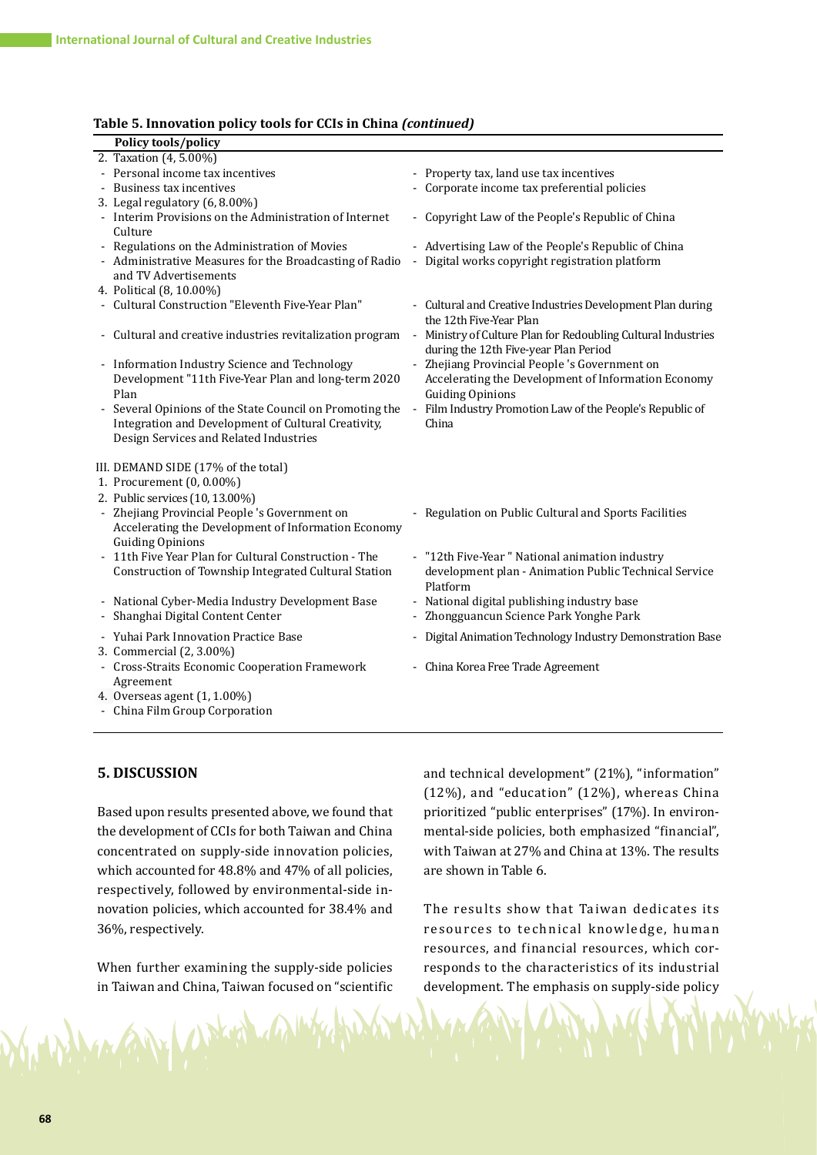#### **Table 5. Innovation policy tools for CCIs in China** *(continued)*

| Policy tools/policy                                                                                                                                     |                |                                                                                                                                |
|---------------------------------------------------------------------------------------------------------------------------------------------------------|----------------|--------------------------------------------------------------------------------------------------------------------------------|
| 2. Taxation (4, 5.00%)                                                                                                                                  |                |                                                                                                                                |
| - Personal income tax incentives                                                                                                                        |                | - Property tax, land use tax incentives                                                                                        |
| Business tax incentives                                                                                                                                 |                | - Corporate income tax preferential policies                                                                                   |
| 3. Legal regulatory (6, 8.00%)                                                                                                                          |                |                                                                                                                                |
| - Interim Provisions on the Administration of Internet<br>Culture                                                                                       |                | - Copyright Law of the People's Republic of China                                                                              |
| - Regulations on the Administration of Movies                                                                                                           |                | - Advertising Law of the People's Republic of China                                                                            |
| - Administrative Measures for the Broadcasting of Radio<br>and TV Advertisements                                                                        |                | Digital works copyright registration platform                                                                                  |
| 4. Political (8, 10.00%)                                                                                                                                |                |                                                                                                                                |
| - Cultural Construction "Eleventh Five-Year Plan"                                                                                                       |                | - Cultural and Creative Industries Development Plan during<br>the 12th Five-Year Plan                                          |
| - Cultural and creative industries revitalization program                                                                                               | $\blacksquare$ | Ministry of Culture Plan for Redoubling Cultural Industries<br>during the 12th Five-year Plan Period                           |
| - Information Industry Science and Technology<br>Development "11th Five-Year Plan and long-term 2020<br>Plan                                            |                | - Zhejiang Provincial People's Government on<br>Accelerating the Development of Information Economy<br><b>Guiding Opinions</b> |
| Several Opinions of the State Council on Promoting the<br>Integration and Development of Cultural Creativity,<br>Design Services and Related Industries |                | - Film Industry Promotion Law of the People's Republic of<br>China                                                             |
| III. DEMAND SIDE (17% of the total)<br>1. Procurement (0, 0.00%)                                                                                        |                |                                                                                                                                |
| 2. Public services (10, 13.00%)                                                                                                                         |                |                                                                                                                                |
| - Zhejiang Provincial People 's Government on<br>Accelerating the Development of Information Economy<br><b>Guiding Opinions</b>                         |                | - Regulation on Public Cultural and Sports Facilities                                                                          |
| 11th Five Year Plan for Cultural Construction - The<br>Construction of Township Integrated Cultural Station                                             |                | - "12th Five-Year" National animation industry<br>development plan - Animation Public Technical Service<br>Platform            |
| - National Cyber-Media Industry Development Base<br>Shanghai Digital Content Center                                                                     |                | - National digital publishing industry base<br>- Zhongguancun Science Park Yonghe Park                                         |
| - Yuhai Park Innovation Practice Base<br>3. Commercial (2, 3.00%)                                                                                       |                | - Digital Animation Technology Industry Demonstration Base                                                                     |
| - Cross-Straits Economic Cooperation Framework<br>Agreement                                                                                             |                | - China Korea Free Trade Agreement                                                                                             |
| 4. Overseas agent (1, 1.00%)<br>- China Film Group Corporation                                                                                          |                |                                                                                                                                |
|                                                                                                                                                         |                |                                                                                                                                |

## **5. DISCUSSION**

Based upon results presented above, we found that the development of CCIs for both Taiwan and China concentrated on supply-side innovation policies, which accounted for 48.8% and 47% of all policies, respectively, followed by environmental-side innovation policies, which accounted for 38.4% and 36%, respectively.

When further examining the supply-side policies in Taiwan and China, Taiwan focused on "scientific

1 prill

and technical development" (21%), "information" (12%), and "education" (12%), whereas China prioritized "public enterprises" (17%). In environmental-side policies, both emphasized "financial", with Taiwan at 27% and China at 13%. The results are shown in Table 6.

The results show that Taiwan dedicates its resources to technical knowledge, human resources, and financial resources, which corresponds to the characteristics of its industrial development. The emphasis on supply-side policy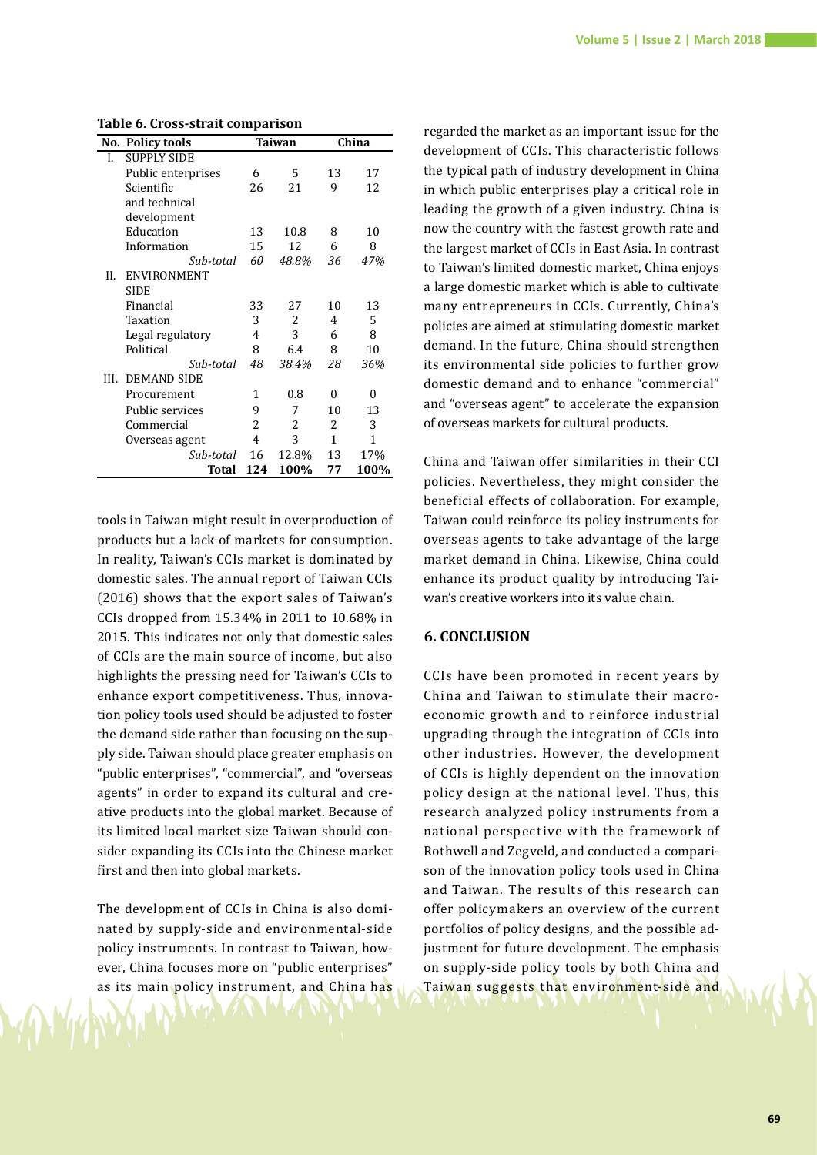| or aroaa aarare<br><u>олтр</u> |                         |     |               |              |              |  |
|--------------------------------|-------------------------|-----|---------------|--------------|--------------|--|
|                                | <b>No. Policy tools</b> |     | <b>Taiwan</b> | China        |              |  |
| I.                             | <b>SUPPLY SIDE</b>      |     |               |              |              |  |
|                                | Public enterprises      | 6   | 5             | 13           | 17           |  |
|                                | Scientific              | 26  | 21            | 9            | 12           |  |
|                                | and technical           |     |               |              |              |  |
|                                | development             |     |               |              |              |  |
|                                | Education               | 13  | 10.8          | 8            | 10           |  |
|                                | Information             | 15  | 12            | 6            | 8            |  |
|                                | Sub-total               | 60  | 48.8%         | 36           | 47%          |  |
| Н.                             | ENVIRONMENT             |     |               |              |              |  |
|                                | <b>SIDE</b>             |     |               |              |              |  |
|                                | Financial               | 33  | 27            | 10           | 13           |  |
|                                | Taxation                | 3   | 2             | 4            | 5            |  |
|                                | Legal regulatory        | 4   | 3             | 6            | 8            |  |
|                                | Political               | 8   | 6.4           | 8            | 10           |  |
|                                | Sub-total               | 48  | 38.4%         | 28           | 36%          |  |
| III.                           | <b>DEMAND SIDE</b>      |     |               |              |              |  |
|                                | Procurement             | 1   | 0.8           | $\theta$     | $\theta$     |  |
|                                | Public services         | 9   | 7             | 10           | 13           |  |
|                                | Commercial              | 2   | 2             | 2            | 3            |  |
|                                | Overseas agent          | 4   | 3             | $\mathbf{1}$ | $\mathbf{1}$ |  |
|                                | Sub-total               | 16  | 12.8%         | 13           | 17%          |  |
|                                | Total                   | 124 | 100%          | 77           | 100%         |  |
|                                |                         |     |               |              |              |  |

**Table 6. Cross-strait comparison**

tools in Taiwan might result in overproduction of products but a lack of markets for consumption. In reality, Taiwan's CCIs market is dominated by domestic sales. The annual report of Taiwan CCIs (2016) shows that the export sales of Taiwan's CCIs dropped from 15.34% in 2011 to 10.68% in 2015. This indicates not only that domestic sales of CCIs are the main source of income, but also highlights the pressing need for Taiwan's CCIs to enhance export competitiveness. Thus, innovation policy tools used should be adjusted to foster the demand side rather than focusing on the supply side. Taiwan should place greater emphasis on "public enterprises", "commercial", and "overseas agents" in order to expand its cultural and creative products into the global market. Because of its limited local market size Taiwan should consider expanding its CCIs into the Chinese market first and then into global markets.

The development of CCIs in China is also dominated by supply-side and environmental-side policy instruments. In contrast to Taiwan, however, China focuses more on "public enterprises" as its main policy instrument, and China has

regarded the market as an important issue for the development of CCIs. This characteristic follows the typical path of industry development in China in which public enterprises play a critical role in leading the growth of a given industry. China is now the country with the fastest growth rate and the largest market of CCIs in East Asia. In contrast to Taiwan's limited domestic market, China enjoys a large domestic market which is able to cultivate many entrepreneurs in CCIs. Currently, China's policies are aimed at stimulating domestic market demand. In the future, China should strengthen its environmental side policies to further grow domestic demand and to enhance "commercial" and "overseas agent" to accelerate the expansion of overseas markets for cultural products.

China and Taiwan offer similarities in their CCI policies. Nevertheless, they might consider the beneficial effects of collaboration. For example, Taiwan could reinforce its policy instruments for overseas agents to take advantage of the large market demand in China. Likewise, China could enhance its product quality by introducing Taiwan's creative workers into its value chain.

## **6. CONCLUSION**

CCIs have been promoted in recent years by China and Taiwan to stimulate their macroeconomic growth and to reinforce industrial upgrading through the integration of CCIs into other industries. However, the development of CCIs is highly dependent on the innovation policy design at the national level. Thus, this research analyzed policy instruments from a national perspective with the framework of Rothwell and Zegveld, and conducted a comparison of the innovation policy tools used in China and Taiwan. The results of this research can offer policymakers an overview of the current portfolios of policy designs, and the possible adjustment for future development. The emphasis on supply-side policy tools by both China and Taiwan suggests that environment-side and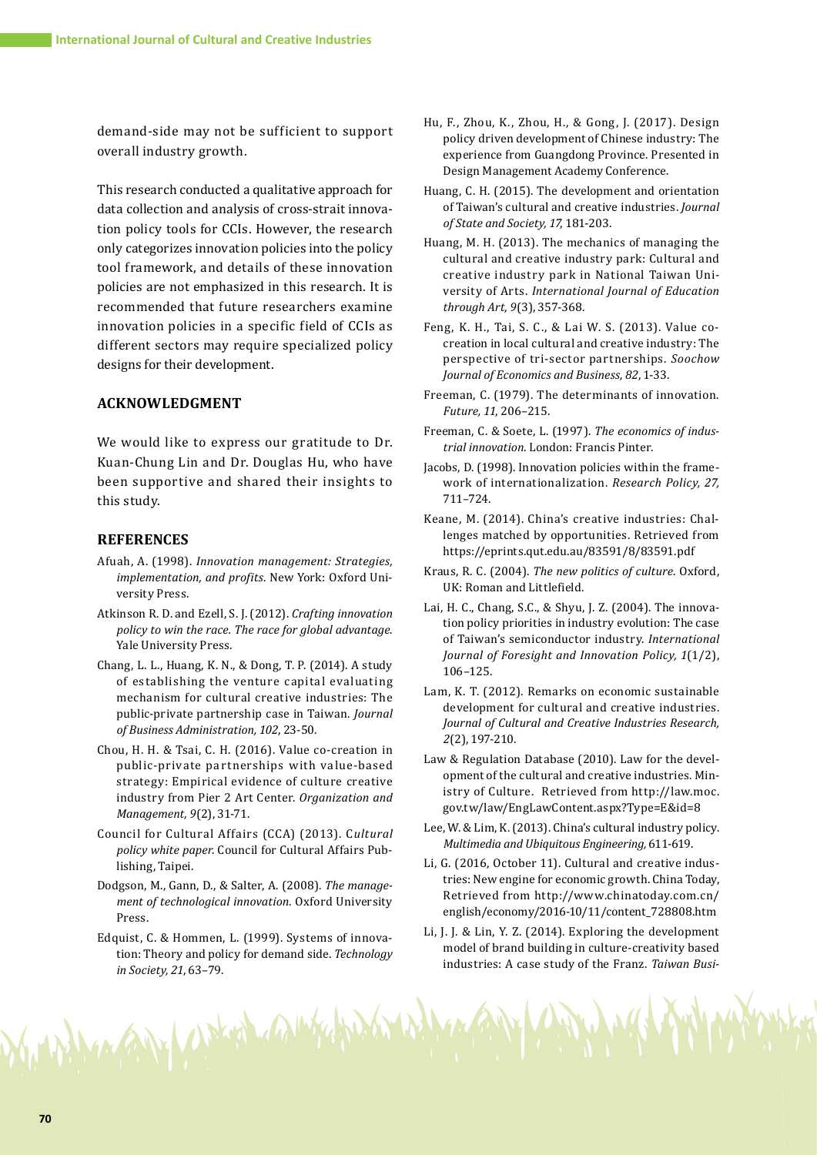demand-side may not be sufficient to support overall industry growth.

This research conducted a qualitative approach for data collection and analysis of cross-strait innovation policy tools for CCIs. However, the research only categorizes innovation policies into the policy tool framework, and details of these innovation policies are not emphasized in this research. It is recommended that future researchers examine innovation policies in a specific field of CCIs as different sectors may require specialized policy designs for their development.

## **ACKNOWLEDGMENT**

We would like to express our gratitude to Dr. Kuan-Chung Lin and Dr. Douglas Hu, who have been supportive and shared their insights to this study.

## **REFERENCES**

- Afuah, A. (1998). *Innovation management: Strategies, implementation, and profits*. New York: Oxford University Press.
- Atkinson R. D. and Ezell, S. J. (2012). *Crafting innovation policy to win the race. The race for global advantage*. Yale University Press.
- Chang, L. L., Huang, K. N., & Dong, T. P. (2014). A study of establishing the venture capital evaluating mechanism for cultural creative industries: The public-private partnership case in Taiwan. *Journal of Business Administration, 102*, 23-50.
- Chou, H. H. & Tsai, C. H. (2016). Value co-creation in public-private partnerships with value-based strategy: Empirical evidence of culture creative industry from Pier 2 Art Center. *Organization and Management, 9*(2), 31-71.
- Council for Cultural Affairs (CCA) (2013). C*ultural policy white paper*. Council for Cultural Affairs Publishing, Taipei.
- Dodgson, M., Gann, D., & Salter, A. (2008). *The management of technological innovation*. Oxford University Press.
- Edquist, C. & Hommen, L. (1999). Systems of innovation: Theory and policy for demand side. *Technology in Society, 21*, 63–79.

in AN Water California

- Hu, F., Zhou, K., Zhou, H., & Gong, J. (2017). Design policy driven development of Chinese industry: The experience from Guangdong Province. Presented in Design Management Academy Conference.
- Huang, C. H. (2015). The development and orientation of Taiwan's cultural and creative industries. *Journal of State and Society, 17*, 181-203.
- Huang, M. H. (2013). The mechanics of managing the cultural and creative industry park: Cultural and creative industry park in National Taiwan University of Arts. *International Journal of Education through Art, 9*(3), 357-368.
- Feng, K. H., Tai, S. C., & Lai W. S. (2013). Value cocreation in local cultural and creative industry: The perspective of tri-sector partnerships. *Soochow Journal of Economics and Business, 82*, 1-33.
- Freeman, C. (1979). The determinants of innovation. *Future, 11*, 206–215.
- Freeman, C. & Soete, L. (1997). *The economics of industrial innovation*. London: Francis Pinter.
- Jacobs, D. (1998). Innovation policies within the framework of internationalization. *Research Policy, 27,*  711–724.
- Keane, M. (2014). China's creative industries: Challenges matched by opportunities. Retrieved from https://eprints.qut.edu.au/83591/8/83591.pdf
- Kraus, R. C. (2004). *The new politics of culture*. Oxford, UK: Roman and Littlefield.
- Lai, H. C., Chang, S.C., & Shyu, J. Z. (2004). The innovation policy priorities in industry evolution: The case of Taiwan's semiconductor industry. *International Journal of Foresight and Innovation Policy, 1*(1/2), 106–125.
- Lam, K. T. (2012). Remarks on economic sustainable development for cultural and creative industries. *Journal of Cultural and Creative Industries Research, 2*(2), 197-210.
- Law & Regulation Database (2010). Law for the development of the cultural and creative industries. Ministry of Culture. Retrieved from http://law.moc. gov.tw/law/EngLawContent.aspx?Type=E&id=8
- Lee, W. & Lim, K. (2013). China's cultural industry policy. *Multimedia and Ubiquitous Engineering,* 611-619.
- Li, G. (2016, October 11). Cultural and creative industries: New engine for economic growth. China Today, Retrieved from http://www.chinatoday.com.cn/ english/economy/2016-10/11/content\_728808.htm
- Li, J. J. & Lin, Y. Z. (2014). Exploring the development model of brand building in culture-creativity based industries: A case study of the Franz. *Taiwan Busi-*